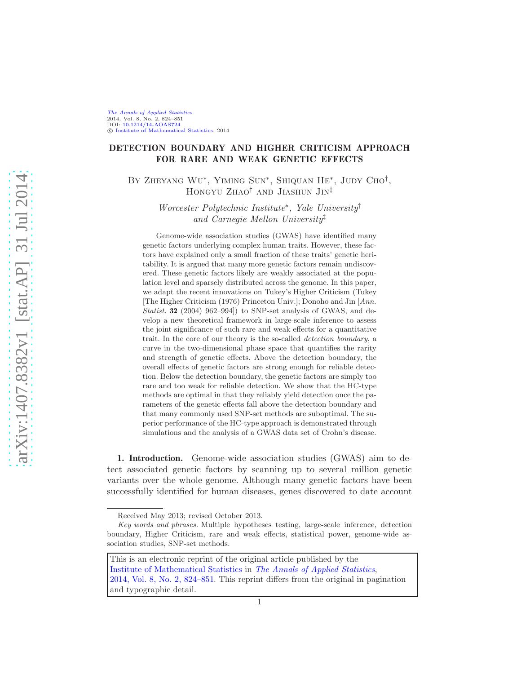[The Annals of Applied Statistics](http://www.imstat.org/aoas/) 2014, Vol. 8, No. 2, 824–851 DOI: [10.1214/14-AOAS724](http://dx.doi.org/10.1214/14-AOAS724) c [Institute of Mathematical Statistics,](http://www.imstat.org) 2014

# DETECTION BOUNDARY AND HIGHER CRITICISM APPROACH FOR RARE AND WEAK GENETIC EFFECTS

BY ZHEYANG WU<sup>\*</sup>, YIMING SUN<sup>\*</sup>, SHIQUAN HE<sup>\*</sup>, JUDY CHO<sup>†</sup>, Hongyu Zhao† and Jiashun Jin‡

> Worcester Polytechnic Institute<sup>∗</sup> , Yale University† and Carnegie Mellon University‡

Genome-wide association studies (GWAS) have identified many genetic factors underlying complex human traits. However, these factors have explained only a small fraction of these traits' genetic heritability. It is argued that many more genetic factors remain undiscovered. These genetic factors likely are weakly associated at the population level and sparsely distributed across the genome. In this paper, we adapt the recent innovations on Tukey's Higher Criticism (Tukey [The Higher Criticism (1976) Princeton Univ.]; Donoho and Jin [Ann. Statist. 32 (2004) 962–994]) to SNP-set analysis of GWAS, and develop a new theoretical framework in large-scale inference to assess the joint significance of such rare and weak effects for a quantitative trait. In the core of our theory is the so-called detection boundary, a curve in the two-dimensional phase space that quantifies the rarity and strength of genetic effects. Above the detection boundary, the overall effects of genetic factors are strong enough for reliable detection. Below the detection boundary, the genetic factors are simply too rare and too weak for reliable detection. We show that the HC-type methods are optimal in that they reliably yield detection once the parameters of the genetic effects fall above the detection boundary and that many commonly used SNP-set methods are suboptimal. The superior performance of the HC-type approach is demonstrated through simulations and the analysis of a GWAS data set of Crohn's disease.

1. Introduction. Genome-wide association studies (GWAS) aim to detect associated genetic factors by scanning up to several million genetic variants over the whole genome. Although many genetic factors have been successfully identified for human diseases, genes discovered to date account

Received May 2013; revised October 2013.

Key words and phrases. Multiple hypotheses testing, large-scale inference, detection boundary, Higher Criticism, rare and weak effects, statistical power, genome-wide association studies, SNP-set methods.

This is an electronic reprint of the original article published by the [Institute of Mathematical Statistics](http://www.imstat.org) in [The Annals of Applied Statistics](http://www.imstat.org/aoas/), [2014, Vol. 8, No. 2, 824–851.](http://dx.doi.org/10.1214/14-AOAS724) This reprint differs from the original in pagination and typographic detail.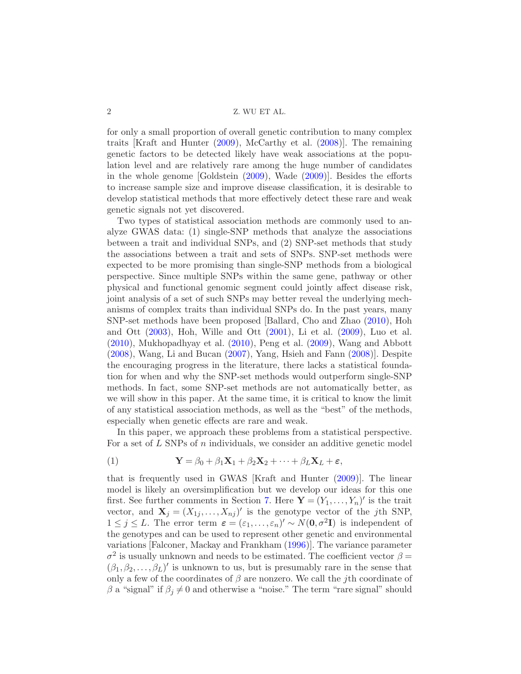for only a small proportion of overall genetic contribution to many complex traits [Kraft and Hunter [\(2009](#page-27-0)), McCarthy et al. [\(2008](#page-27-1))]. The remaining genetic factors to be detected likely have weak associations at the population level and are relatively rare among the huge number of candidates in the whole genome [Goldstein [\(2009](#page-26-0)), Wade [\(2009](#page-28-0))]. Besides the efforts to increase sample size and improve disease classification, it is desirable to develop statistical methods that more effectively detect these rare and weak genetic signals not yet discovered.

Two types of statistical association methods are commonly used to analyze GWAS data: (1) single-SNP methods that analyze the associations between a trait and individual SNPs, and (2) SNP-set methods that study the associations between a trait and sets of SNPs. SNP-set methods were expected to be more promising than single-SNP methods from a biological perspective. Since multiple SNPs within the same gene, pathway or other physical and functional genomic segment could jointly affect disease risk, joint analysis of a set of such SNPs may better reveal the underlying mechanisms of complex traits than individual SNPs do. In the past years, many SNP-set methods have been proposed [Ballard, Cho and Zhao [\(2010](#page-26-1)), Hoh and Ott [\(2003](#page-27-2)), Hoh, Wille and Ott [\(2001](#page-27-3)), Li et al. [\(2009\)](#page-27-4), Luo et al. [\(2010\)](#page-27-5), Mukhopadhyay et al. [\(2010\)](#page-27-6), Peng et al. [\(2009](#page-28-1)), Wang and Abbott [\(2008\)](#page-28-2), Wang, Li and Bucan [\(2007\)](#page-28-3), Yang, Hsieh and Fann [\(2008](#page-28-4))]. Despite the encouraging progress in the literature, there lacks a statistical foundation for when and why the SNP-set methods would outperform single-SNP methods. In fact, some SNP-set methods are not automatically better, as we will show in this paper. At the same time, it is critical to know the limit of any statistical association methods, as well as the "best" of the methods, especially when genetic effects are rare and weak.

In this paper, we approach these problems from a statistical perspective. For a set of L SNPs of n individuals, we consider an additive genetic model

<span id="page-1-0"></span>(1) 
$$
\mathbf{Y} = \beta_0 + \beta_1 \mathbf{X}_1 + \beta_2 \mathbf{X}_2 + \cdots + \beta_L \mathbf{X}_L + \boldsymbol{\varepsilon},
$$

that is frequently used in GWAS [Kraft and Hunter [\(2009\)](#page-27-0)]. The linear model is likely an oversimplification but we develop our ideas for this one first. See further comments in Section [7.](#page-24-0) Here  $\mathbf{Y} = (Y_1, \ldots, Y_n)'$  is the trait vector, and  $\mathbf{X}_j = (X_{1j}, \dots, X_{nj})'$  is the genotype vector of the jth SNP,  $1 \leq j \leq L$ . The error term  $\varepsilon = (\varepsilon_1, \ldots, \varepsilon_n)' \sim N(\mathbf{0}, \sigma^2 \mathbf{I})$  is independent of the genotypes and can be used to represent other genetic and environmental variations [Falconer, Mackay and Frankham [\(1996\)](#page-26-2)]. The variance parameter  $\sigma^2$  is usually unknown and needs to be estimated. The coefficient vector  $\beta =$  $(\beta_1, \beta_2, \dots, \beta_L)'$  is unknown to us, but is presumably rare in the sense that only a few of the coordinates of  $\beta$  are nonzero. We call the *j*th coordinate of β a "signal" if  $β<sub>i</sub> ≠ 0$  and otherwise a "noise." The term "rare signal" should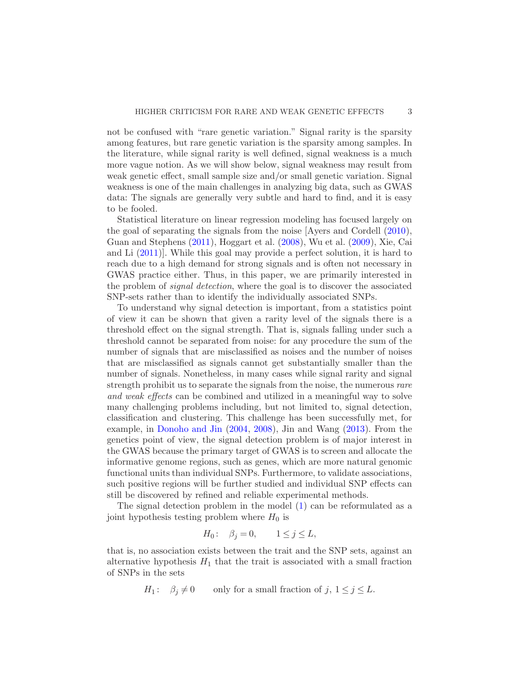not be confused with "rare genetic variation." Signal rarity is the sparsity among features, but rare genetic variation is the sparsity among samples. In the literature, while signal rarity is well defined, signal weakness is a much more vague notion. As we will show below, signal weakness may result from weak genetic effect, small sample size and/or small genetic variation. Signal weakness is one of the main challenges in analyzing big data, such as GWAS data: The signals are generally very subtle and hard to find, and it is easy to be fooled.

Statistical literature on linear regression modeling has focused largely on the goal of separating the signals from the noise [Ayers and Cordell [\(2010](#page-26-3)), Guan and Stephens [\(2011](#page-27-7)), Hoggart et al. [\(2008](#page-27-8)), Wu et al. [\(2009](#page-28-5)), Xie, Cai and Li [\(2011](#page-28-6))]. While this goal may provide a perfect solution, it is hard to reach due to a high demand for strong signals and is often not necessary in GWAS practice either. Thus, in this paper, we are primarily interested in the problem of *signal detection*, where the goal is to discover the associated SNP-sets rather than to identify the individually associated SNPs.

To understand why signal detection is important, from a statistics point of view it can be shown that given a rarity level of the signals there is a threshold effect on the signal strength. That is, signals falling under such a threshold cannot be separated from noise: for any procedure the sum of the number of signals that are misclassified as noises and the number of noises that are misclassified as signals cannot get substantially smaller than the number of signals. Nonetheless, in many cases while signal rarity and signal strength prohibit us to separate the signals from the noise, the numerous rare and weak effects can be combined and utilized in a meaningful way to solve many challenging problems including, but not limited to, signal detection, classification and clustering. This challenge has been successfully met, for example, in [Donoho and Jin](#page-26-4) [\(2004](#page-26-4), [2008](#page-26-5)), Jin and Wang [\(2013](#page-27-9)). From the genetics point of view, the signal detection problem is of major interest in the GWAS because the primary target of GWAS is to screen and allocate the informative genome regions, such as genes, which are more natural genomic functional units than individual SNPs. Furthermore, to validate associations, such positive regions will be further studied and individual SNP effects can still be discovered by refined and reliable experimental methods.

The signal detection problem in the model [\(1\)](#page-1-0) can be reformulated as a joint hypothesis testing problem where  $H_0$  is

$$
H_0: \quad \beta_j = 0, \qquad 1 \le j \le L,
$$

that is, no association exists between the trait and the SNP sets, against an alternative hypothesis  $H_1$  that the trait is associated with a small fraction of SNPs in the sets

$$
H_1: \quad \beta_j \neq 0 \qquad \text{only for a small fraction of } j, \ 1 \leq j \leq L.
$$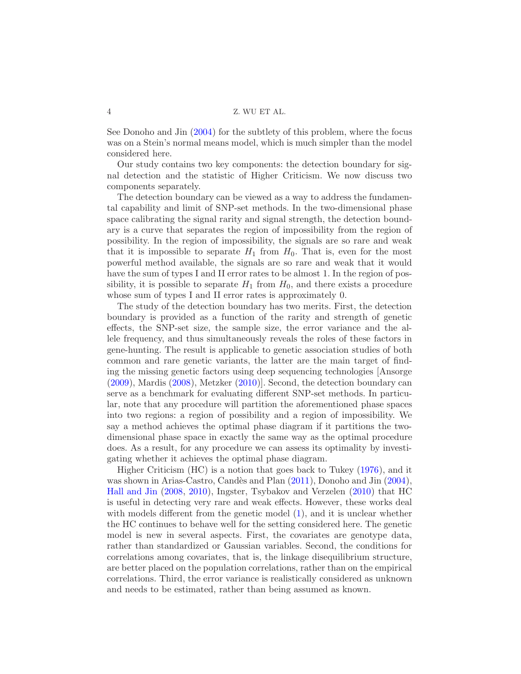See Donoho and Jin [\(2004](#page-26-4)) for the subtlety of this problem, where the focus was on a Stein's normal means model, which is much simpler than the model considered here.

Our study contains two key components: the detection boundary for signal detection and the statistic of Higher Criticism. We now discuss two components separately.

The detection boundary can be viewed as a way to address the fundamental capability and limit of SNP-set methods. In the two-dimensional phase space calibrating the signal rarity and signal strength, the detection boundary is a curve that separates the region of impossibility from the region of possibility. In the region of impossibility, the signals are so rare and weak that it is impossible to separate  $H_1$  from  $H_0$ . That is, even for the most powerful method available, the signals are so rare and weak that it would have the sum of types I and II error rates to be almost 1. In the region of possibility, it is possible to separate  $H_1$  from  $H_0$ , and there exists a procedure whose sum of types I and II error rates is approximately 0.

The study of the detection boundary has two merits. First, the detection boundary is provided as a function of the rarity and strength of genetic effects, the SNP-set size, the sample size, the error variance and the allele frequency, and thus simultaneously reveals the roles of these factors in gene-hunting. The result is applicable to genetic association studies of both common and rare genetic variants, the latter are the main target of finding the missing genetic factors using deep sequencing technologies [Ansorge [\(2009\)](#page-25-0), Mardis [\(2008](#page-27-10)), Metzker [\(2010](#page-27-11))]. Second, the detection boundary can serve as a benchmark for evaluating different SNP-set methods. In particular, note that any procedure will partition the aforementioned phase spaces into two regions: a region of possibility and a region of impossibility. We say a method achieves the optimal phase diagram if it partitions the twodimensional phase space in exactly the same way as the optimal procedure does. As a result, for any procedure we can assess its optimality by investigating whether it achieves the optimal phase diagram.

Higher Criticism (HC) is a notion that goes back to Tukey [\(1976](#page-28-7)), and it was shown in Arias-Castro, Candès and Plan  $(2011)$ , Donoho and Jin  $(2004)$ , [Hall and Jin](#page-27-12) [\(2008](#page-27-12), [2010\)](#page-27-13), Ingster, Tsybakov and Verzelen [\(2010](#page-27-14)) that HC is useful in detecting very rare and weak effects. However, these works deal with models different from the genetic model  $(1)$ , and it is unclear whether the HC continues to behave well for the setting considered here. The genetic model is new in several aspects. First, the covariates are genotype data, rather than standardized or Gaussian variables. Second, the conditions for correlations among covariates, that is, the linkage disequilibrium structure, are better placed on the population correlations, rather than on the empirical correlations. Third, the error variance is realistically considered as unknown and needs to be estimated, rather than being assumed as known.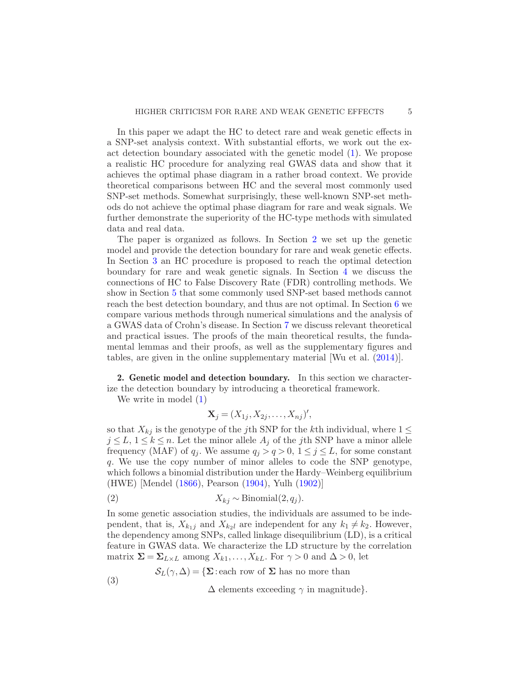In this paper we adapt the HC to detect rare and weak genetic effects in a SNP-set analysis context. With substantial efforts, we work out the exact detection boundary associated with the genetic model [\(1\)](#page-1-0). We propose a realistic HC procedure for analyzing real GWAS data and show that it achieves the optimal phase diagram in a rather broad context. We provide theoretical comparisons between HC and the several most commonly used SNP-set methods. Somewhat surprisingly, these well-known SNP-set methods do not achieve the optimal phase diagram for rare and weak signals. We further demonstrate the superiority of the HC-type methods with simulated data and real data.

The paper is organized as follows. In Section [2](#page-4-0) we set up the genetic model and provide the detection boundary for rare and weak genetic effects. In Section [3](#page-8-0) an HC procedure is proposed to reach the optimal detection boundary for rare and weak genetic signals. In Section [4](#page-10-0) we discuss the connections of HC to False Discovery Rate (FDR) controlling methods. We show in Section [5](#page-12-0) that some commonly used SNP-set based methods cannot reach the best detection boundary, and thus are not optimal. In Section [6](#page-14-0) we compare various methods through numerical simulations and the analysis of a GWAS data of Crohn's disease. In Section [7](#page-24-0) we discuss relevant theoretical and practical issues. The proofs of the main theoretical results, the fundamental lemmas and their proofs, as well as the supplementary figures and tables, are given in the online supplementary material [Wu et al. [\(2014](#page-28-8))].

<span id="page-4-0"></span>2. Genetic model and detection boundary. In this section we characterize the detection boundary by introducing a theoretical framework.

We write in model [\(1\)](#page-1-0)

(3)

<span id="page-4-2"></span>
$$
\mathbf{X}_j = (X_{1j}, X_{2j}, \dots, X_{nj})',
$$

so that  $X_{kj}$  is the genotype of the jth SNP for the kth individual, where  $1 \leq$  $j \leq L$ ,  $1 \leq k \leq n$ . Let the minor allele  $A_j$  of the j<sup>th</sup> SNP have a minor allele frequency (MAF) of  $q_i$ . We assume  $q_i > q > 0$ ,  $1 \leq j \leq L$ , for some constant q. We use the copy number of minor alleles to code the SNP genotype, which follows a binomial distribution under the Hardy–Weinberg equilibrium (HWE) [Mendel [\(1866](#page-27-15)), Pearson [\(1904](#page-28-9)), Yulh [\(1902](#page-28-10))]

(2) 
$$
X_{kj} \sim \text{Binomial}(2, q_j).
$$

In some genetic association studies, the individuals are assumed to be independent, that is,  $X_{k_1j}$  and  $X_{k_2l}$  are independent for any  $k_1 \neq k_2$ . However, the dependency among SNPs, called linkage disequilibrium (LD), is a critical feature in GWAS data. We characterize the LD structure by the correlation matrix  $\Sigma = \Sigma_{L \times L}$  among  $X_{k1}, \ldots, X_{kL}$ . For  $\gamma > 0$  and  $\Delta > 0$ , let

<span id="page-4-1"></span> $\mathcal{S}_L(\gamma, \Delta) = \{ \Sigma : \text{each row of } \Sigma \text{ has no more than } \Sigma \}$ 

 $\Delta$  elements exceeding  $\gamma$  in magnitude}.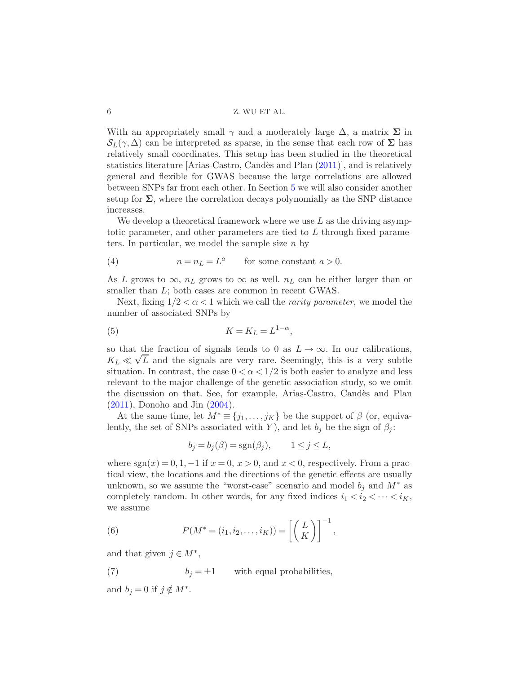With an appropriately small  $\gamma$  and a moderately large  $\Delta$ , a matrix  $\Sigma$  in  $\mathcal{S}_L(\gamma, \Delta)$  can be interpreted as sparse, in the sense that each row of  $\Sigma$  has relatively small coordinates. This setup has been studied in the theoretical statistics literature [Arias-Castro, Candès and Plan  $(2011)$ ], and is relatively general and flexible for GWAS because the large correlations are allowed between SNPs far from each other. In Section [5](#page-12-0) we will also consider another setup for  $\Sigma$ , where the correlation decays polynomially as the SNP distance increases.

We develop a theoretical framework where we use  $L$  as the driving asymptotic parameter, and other parameters are tied to  $L$  through fixed parameters. In particular, we model the sample size  $n$  by

<span id="page-5-0"></span>(4) 
$$
n = n_L = L^a
$$
 for some constant  $a > 0$ .

As L grows to  $\infty$ ,  $n_L$  grows to  $\infty$  as well.  $n_L$  can be either larger than or smaller than  $L$ ; both cases are common in recent GWAS.

Next, fixing  $1/2 < \alpha < 1$  which we call the *rarity parameter*, we model the number of associated SNPs by

<span id="page-5-1"></span>
$$
(5) \t K = K_L = L^{1-\alpha},
$$

so that the fraction of signals tends to 0 as  $L \to \infty$ . In our calibrations,  $K_L \ll \sqrt{L}$  and the signals are very rare. Seemingly, this is a very subtle situation. In contrast, the case  $0 < \alpha < 1/2$  is both easier to analyze and less relevant to the major challenge of the genetic association study, so we omit the discussion on that. See, for example, Arias-Castro, Candès and Plan [\(2011\)](#page-25-1), Donoho and Jin [\(2004\)](#page-26-4).

At the same time, let  $M^* \equiv \{j_1, \ldots, j_K\}$  be the support of  $\beta$  (or, equivalently, the set of SNPs associated with Y), and let  $b_j$  be the sign of  $\beta_j$ :

$$
b_j = b_j(\beta) = \text{sgn}(\beta_j), \qquad 1 \le j \le L,
$$

where  $sgn(x) = 0, 1, -1$  if  $x = 0, x > 0$ , and  $x < 0$ , respectively. From a practical view, the locations and the directions of the genetic effects are usually unknown, so we assume the "worst-case" scenario and model  $b_j$  and  $M^*$  as completely random. In other words, for any fixed indices  $i_1 < i_2 < \cdots < i_K$ , we assume

(6) 
$$
P(M^* = (i_1, i_2, \dots, i_K)) = \left[ \binom{L}{K} \right]^{-1},
$$

and that given  $j \in M^*$ ,

(7)  $b_j = \pm 1$  with equal probabilities,

and  $b_j = 0$  if  $j \notin M^*$ .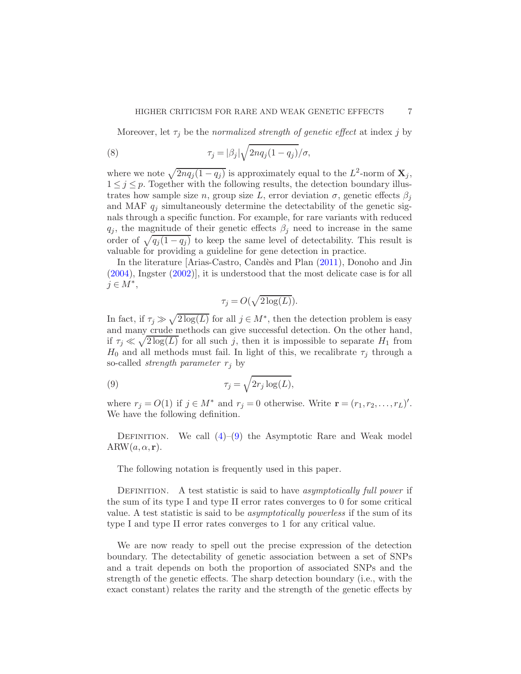<span id="page-6-1"></span>Moreover, let  $\tau_i$  be the normalized strength of genetic effect at index j by

(8) 
$$
\tau_j = |\beta_j| \sqrt{2nq_j(1-q_j)}/\sigma,
$$

where we note  $\sqrt{2nq_j(1-q_j)}$  is approximately equal to the  $L^2$ -norm of  $\mathbf{X}_j$ ,  $1 \leq j \leq p$ . Together with the following results, the detection boundary illustrates how sample size n, group size L, error deviation  $\sigma$ , genetic effects  $\beta_i$ and MAF  $q_i$  simultaneously determine the detectability of the genetic signals through a specific function. For example, for rare variants with reduced  $q_j$ , the magnitude of their genetic effects  $\beta_j$  need to increase in the same order of  $\sqrt{q_j(1 - q_j)}$  to keep the same level of detectability. This result is valuable for providing a guideline for gene detection in practice.

In the literature [Arias-Castro, Candès and Plan [\(2011\)](#page-25-1), Donoho and Jin [\(2004\)](#page-26-4), Ingster [\(2002\)](#page-27-16)], it is understood that the most delicate case is for all  $j \in M^*,$ 

<span id="page-6-0"></span>
$$
\tau_j = O(\sqrt{2\log(L)}).
$$

In fact, if  $\tau_j \gg \sqrt{2\log(L)}$  for all  $j \in M^*$ , then the detection problem is easy and many crude methods can give successful detection. On the other hand, if  $\tau_j \ll \sqrt{2\log(L)}$  for all such j, then it is impossible to separate  $H_1$  from  $H_0$  and all methods must fail. In light of this, we recalibrate  $\tau_j$  through a so-called *strength parameter*  $r_j$  by

(9) 
$$
\tau_j = \sqrt{2r_j \log(L)},
$$

where  $r_j = O(1)$  if  $j \in M^*$  and  $r_j = 0$  otherwise. Write  $\mathbf{r} = (r_1, r_2, \dots, r_L)'$ . We have the following definition.

DEFINITION. We call  $(4)$ – $(9)$  the Asymptotic Rare and Weak model  $ARW(a, \alpha, r).$ 

The following notation is frequently used in this paper.

DEFINITION. A test statistic is said to have asymptotically full power if the sum of its type I and type II error rates converges to 0 for some critical value. A test statistic is said to be asymptotically powerless if the sum of its type I and type II error rates converges to 1 for any critical value.

We are now ready to spell out the precise expression of the detection boundary. The detectability of genetic association between a set of SNPs and a trait depends on both the proportion of associated SNPs and the strength of the genetic effects. The sharp detection boundary (i.e., with the exact constant) relates the rarity and the strength of the genetic effects by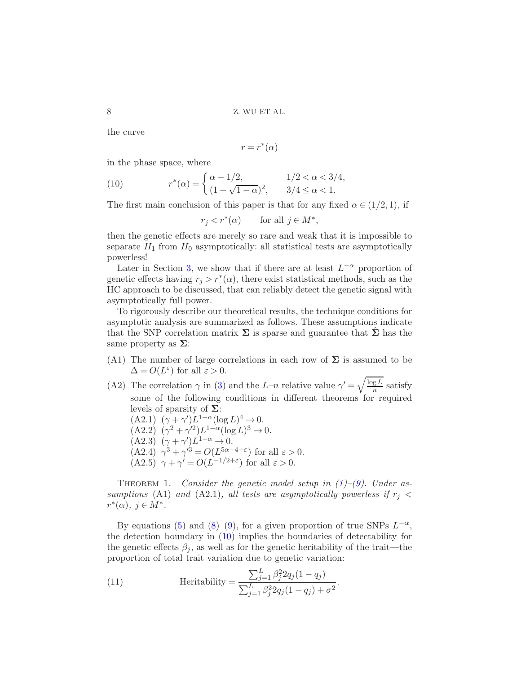the curve

$$
r = r^*(\alpha)
$$

in the phase space, where

(10) 
$$
r^*(\alpha) = \begin{cases} \alpha - 1/2, & 1/2 < \alpha < 3/4, \\ (1 - \sqrt{1 - \alpha})^2, & 3/4 \le \alpha < 1. \end{cases}
$$

The first main conclusion of this paper is that for any fixed  $\alpha \in (1/2, 1)$ , if

<span id="page-7-0"></span>
$$
r_j < r^*(\alpha) \qquad \text{for all } j \in M^*,
$$

then the genetic effects are merely so rare and weak that it is impossible to separate  $H_1$  from  $H_0$  asymptotically: all statistical tests are asymptotically powerless!

Later in Section [3,](#page-8-0) we show that if there are at least  $L^{-\alpha}$  proportion of genetic effects having  $r_j > r^*(\alpha)$ , there exist statistical methods, such as the HC approach to be discussed, that can reliably detect the genetic signal with asymptotically full power.

To rigorously describe our theoretical results, the technique conditions for asymptotic analysis are summarized as follows. These assumptions indicate that the SNP correlation matrix  $\Sigma$  is sparse and guarantee that  $\Sigma$  has the same property as  $\Sigma$ :

- (A1) The number of large correlations in each row of  $\Sigma$  is assumed to be  $\Delta = O(L^{\varepsilon})$  for all  $\varepsilon > 0$ .
- (A2) The correlation  $\gamma$  in [\(3\)](#page-4-1) and the L–n relative value  $\gamma' = \sqrt{\frac{\log L}{n}}$  $\frac{g}{n}$  satisfy some of the following conditions in different theorems for required levels of sparsity of  $\Sigma$ :  $(A2.1)$   $(\gamma + \gamma')L^{1-\alpha}(\log L)^4 \rightarrow 0.$  $(A2.2)$   $(\gamma^2 + \gamma'^2)L^{1-\alpha}(\log L)^3 \to 0.$  $(A2.3)$   $(\gamma + \gamma')L^{1-\alpha} \rightarrow 0.$  $(A2.4)$   $\gamma^3 + \gamma'^3 = O(L^{5\alpha - 4 + \varepsilon})$  for all  $\varepsilon > 0$ .  $(A2.5)$   $\gamma + \gamma' = O(L^{-1/2+\epsilon})$  for all  $\varepsilon > 0$ .

THEOREM 1. Consider the genetic model setup in  $(1)-(9)$  $(1)-(9)$ . Under assumptions (A1) and (A2.1), all tests are asymptotically powerless if  $r_i$  $r^*(\alpha)$ ,  $j \in M^*$ .

By equations [\(5\)](#page-5-1) and [\(8\)](#page-6-1)–[\(9\)](#page-6-0), for a given proportion of true SNPs  $L^{-\alpha}$ , the detection boundary in [\(10\)](#page-7-0) implies the boundaries of detectability for the genetic effects  $\beta_i$ , as well as for the genetic heritability of the trait—the proportion of total trait variation due to genetic variation:

<span id="page-7-1"></span>(11) 
$$
\text{Heritability} = \frac{\sum_{j=1}^{L} \beta_j^2 2q_j (1 - q_j)}{\sum_{j=1}^{L} \beta_j^2 2q_j (1 - q_j) + \sigma^2}.
$$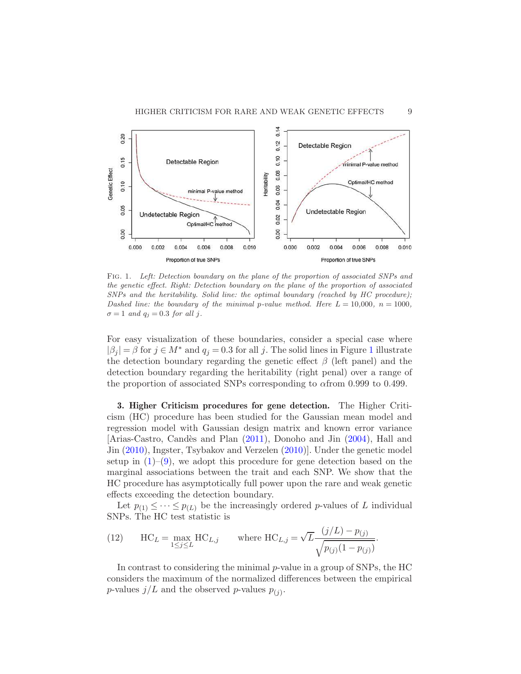

<span id="page-8-1"></span>FIG. 1. Left: Detection boundary on the plane of the proportion of associated SNPs and the genetic effect. Right: Detection boundary on the plane of the proportion of associated SNPs and the heritability. Solid line: the optimal boundary (reached by HC procedure); Dashed line: the boundary of the minimal p-value method. Here  $L = 10,000$ ,  $n = 1000$ ,  $\sigma = 1$  and  $q_j = 0.3$  for all j.

For easy visualization of these boundaries, consider a special case where  $|\beta_j| = \beta$  for  $j \in M^*$  and  $q_j = 0.3$  for all j. The solid lines in Figure [1](#page-8-1) illustrate the detection boundary regarding the genetic effect  $\beta$  (left panel) and the detection boundary regarding the heritability (right penal) over a range of the proportion of associated SNPs corresponding to  $\alpha$  from 0.999 to 0.499.

<span id="page-8-0"></span>3. Higher Criticism procedures for gene detection. The Higher Criticism (HC) procedure has been studied for the Gaussian mean model and regression model with Gaussian design matrix and known error variance [Arias-Castro, Cand`es and Plan [\(2011](#page-25-1)), Donoho and Jin [\(2004\)](#page-26-4), Hall and Jin [\(2010](#page-27-13)), Ingster, Tsybakov and Verzelen [\(2010](#page-27-14))]. Under the genetic model setup in  $(1)$ – $(9)$ , we adopt this procedure for gene detection based on the marginal associations between the trait and each SNP. We show that the HC procedure has asymptotically full power upon the rare and weak genetic effects exceeding the detection boundary.

Let  $p_{(1)} \leq \cdots \leq p_{(L)}$  be the increasingly ordered p-values of L individual SNPs. The HC test statistic is

<span id="page-8-2"></span>(12) 
$$
\text{HC}_{L} = \max_{1 \leq j \leq L} \text{HC}_{L,j} \quad \text{where } \text{HC}_{L,j} = \sqrt{L} \frac{(j/L) - p_{(j)}}{\sqrt{p_{(j)}(1 - p_{(j)})}}.
$$

In contrast to considering the minimal  $p$ -value in a group of SNPs, the HC considers the maximum of the normalized differences between the empirical *p*-values  $j/L$  and the observed *p*-values  $p_{(j)}$ .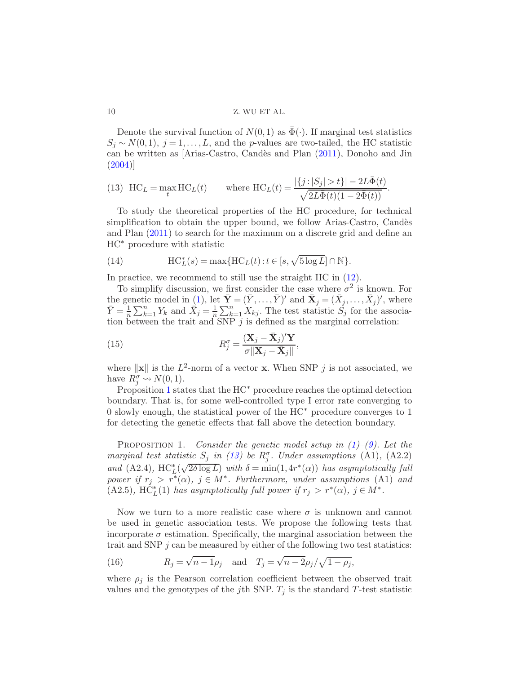Denote the survival function of  $N(0,1)$  as  $\bar{\Phi}(\cdot)$ . If marginal test statistics  $S_i \sim N(0, 1), j = 1, \ldots, L$ , and the p-values are two-tailed, the HC statistic can be written as [Arias-Castro, Candès and Plan [\(2011](#page-25-1)), Donoho and Jin  $(2004)$ 

<span id="page-9-1"></span>(13) 
$$
\text{HC}_L = \max_t \text{HC}_L(t) \quad \text{where } \text{HC}_L(t) = \frac{|\{j : |S_j| > t\}| - 2L\bar{\Phi}(t)}{\sqrt{2L\bar{\Phi}(t)(1 - 2\bar{\Phi}(t))}}.
$$

To study the theoretical properties of the HC procedure, for technical simplification to obtain the upper bound, we follow Arias-Castro, Candès and Plan [\(2011\)](#page-25-1) to search for the maximum on a discrete grid and define an HC<sup>∗</sup> procedure with statistic

(14) 
$$
\mathrm{HC}_{L}^{*}(s) = \max\{\mathrm{HC}_{L}(t): t \in [s, \sqrt{5\log L}] \cap \mathbb{N}\}.
$$

In practice, we recommend to still use the straight HC in  $(12)$ .

To simplify discussion, we first consider the case where  $\sigma^2$  is known. For the genetic model in [\(1\)](#page-1-0), let  $\bar{\mathbf{Y}} = (\bar{Y}, \dots, \bar{Y})'$  and  $\bar{\mathbf{X}}_j = (\bar{X}_j, \dots, \bar{X}_j)'$ , where  $\bar{Y} = \frac{1}{n} \sum_{k=1}^{n} Y_k$  and  $\bar{X}_j = \frac{1}{n} \sum_{k=1}^{n} X_{kj}$ . The test statistic  $S_j$  for the association between the trait and SNP  $j$  is defined as the marginal correlation:

(15) 
$$
R_j^{\sigma} = \frac{(\mathbf{X}_j - \bar{\mathbf{X}}_j)'\mathbf{Y}}{\sigma||\mathbf{X}_j - \bar{\mathbf{X}}_j||},
$$

where  $\|\mathbf{x}\|$  is the  $L^2$ -norm of a vector **x**. When SNP j is not associated, we have  $R_j^{\sigma} \rightsquigarrow N(0, 1)$ .

Proposition [1](#page-9-0) states that the HC<sup>∗</sup> procedure reaches the optimal detection boundary. That is, for some well-controlled type I error rate converging to 0 slowly enough, the statistical power of the HC<sup>∗</sup> procedure converges to 1 for detecting the genetic effects that fall above the detection boundary.

<span id="page-9-0"></span>PROPOSITION 1. Consider the genetic model setup in  $(1)-(9)$  $(1)-(9)$ . Let the marginal test statistic  $S_j$  in [\(13\)](#page-9-1) be  $R_j^{\sigma}$ . Under assumptions (A1), (A2.2) and (A2.4),  $\text{HC}_{L}^{*}(\sqrt{2\delta \log L})$  with  $\delta = \min(1, 4r^{*}(\alpha))$  has asymptotically full power if  $r_j > r^*(\alpha)$ ,  $j \in M^*$ . Furthermore, under assumptions (A1) and (A2.5), HC<sup>\*</sup><sub>L</sub>(1) has asymptotically full power if  $r_j > r^*(\alpha)$ ,  $j \in M^*$ .

Now we turn to a more realistic case where  $\sigma$  is unknown and cannot be used in genetic association tests. We propose the following tests that incorporate  $\sigma$  estimation. Specifically, the marginal association between the trait and SNP  $\dot{\gamma}$  can be measured by either of the following two test statistics:

<span id="page-9-2"></span>(16) 
$$
R_j = \sqrt{n-1}\rho_j
$$
 and  $T_j = \sqrt{n-2}\rho_j/\sqrt{1-\rho_j}$ ,

where  $\rho_j$  is the Pearson correlation coefficient between the observed trait values and the genotypes of the j<sup>th</sup> SNP.  $T_j$  is the standard T-test statistic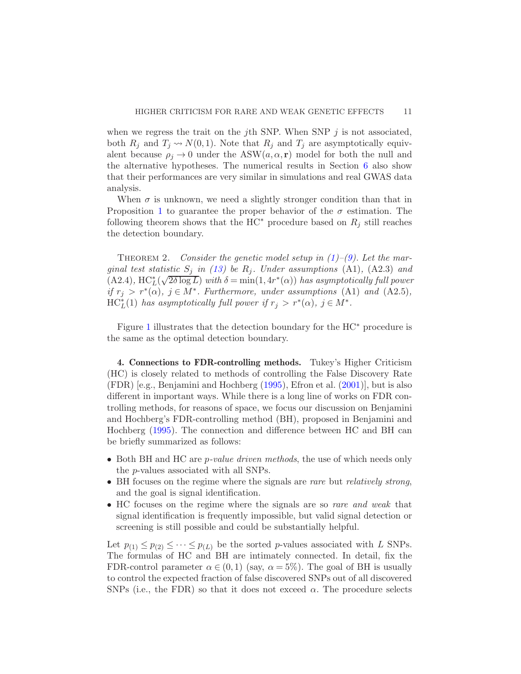when we regress the trait on the *j*th SNP. When SNP  $i$  is not associated, both  $R_j$  and  $T_j \rightsquigarrow N(0, 1)$ . Note that  $R_j$  and  $T_j$  are asymptotically equivalent because  $\rho_i \rightarrow 0$  under the ASW( $a, \alpha, r$ ) model for both the null and the alternative hypotheses. The numerical results in Section [6](#page-14-0) also show that their performances are very similar in simulations and real GWAS data analysis.

When  $\sigma$  is unknown, we need a slightly stronger condition than that in Proposition [1](#page-9-0) to guarantee the proper behavior of the  $\sigma$  estimation. The following theorem shows that the  $HC^*$  procedure based on  $R_j$  still reaches the detection boundary.

THEOREM 2. Consider the genetic model setup in  $(1)$ – $(9)$ . Let the marginal test statistic  $S_j$  in [\(13\)](#page-9-1) be  $R_j$ . Under assumptions (A1), (A2.3) and  $(A2.4), \,\mathrm{HC}_{L}^{*}(\sqrt{2\delta\log L})$  with  $\delta = \min(1, 4r^{*}(\alpha))$  has asymptotically full power if  $r_j > r^*(\alpha)$ ,  $j \in M^*$ . Furthermore, under assumptions (A1) and (A2.5),  $\mathrm{HC}_L^*(1)$  has asymptotically full power if  $r_j > r^*(\alpha)$ ,  $j \in M^*$ .

Figure [1](#page-8-1) illustrates that the detection boundary for the HC<sup>∗</sup> procedure is the same as the optimal detection boundary.

<span id="page-10-0"></span>4. Connections to FDR-controlling methods. Tukey's Higher Criticism (HC) is closely related to methods of controlling the False Discovery Rate (FDR) [e.g., Benjamini and Hochberg [\(1995\)](#page-26-6), Efron et al. [\(2001](#page-26-7))], but is also different in important ways. While there is a long line of works on FDR controlling methods, for reasons of space, we focus our discussion on Benjamini and Hochberg's FDR-controlling method (BH), proposed in Benjamini and Hochberg [\(1995](#page-26-6)). The connection and difference between HC and BH can be briefly summarized as follows:

- Both BH and HC are *p-value driven methods*, the use of which needs only the p-values associated with all SNPs.
- BH focuses on the regime where the signals are rare but relatively strong, and the goal is signal identification.
- HC focuses on the regime where the signals are so rare and weak that signal identification is frequently impossible, but valid signal detection or screening is still possible and could be substantially helpful.

Let  $p_{(1)} \leq p_{(2)} \leq \cdots \leq p_{(L)}$  be the sorted p-values associated with L SNPs. The formulas of HC and BH are intimately connected. In detail, fix the FDR-control parameter  $\alpha \in (0,1)$  (say,  $\alpha = 5\%$ ). The goal of BH is usually to control the expected fraction of false discovered SNPs out of all discovered SNPs (i.e., the FDR) so that it does not exceed  $\alpha$ . The procedure selects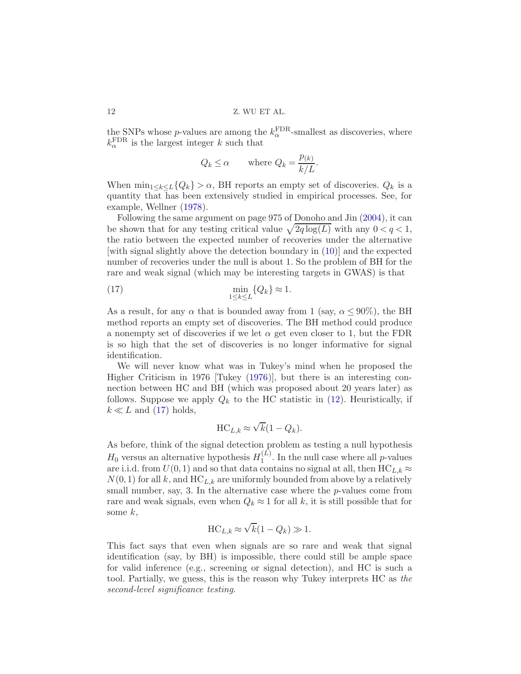the SNPs whose p-values are among the  $k_{\alpha}^{\text{FDR}}$ -smallest as discoveries, where  $k_{\alpha}^{\text{FDR}}$  is the largest integer k such that

$$
Q_k \le \alpha
$$
 where  $Q_k = \frac{p_{(k)}}{k/L}$ .

When  $\min_{1 \leq k \leq L} \{Q_k\} > \alpha$ , BH reports an empty set of discoveries.  $Q_k$  is a quantity that has been extensively studied in empirical processes. See, for example, Wellner [\(1978](#page-28-11)).

Following the same argument on page 975 of Donoho and Jin [\(2004](#page-26-4)), it can be shown that for any testing critical value  $\sqrt{2q \log(L)}$  with any  $0 < q < 1$ , the ratio between the expected number of recoveries under the alternative [with signal slightly above the detection boundary in [\(10\)](#page-7-0)] and the expected number of recoveries under the null is about 1. So the problem of BH for the rare and weak signal (which may be interesting targets in GWAS) is that

<span id="page-11-0"></span>(17) 
$$
\min_{1 \le k \le L} \{Q_k\} \approx 1.
$$

As a result, for any  $\alpha$  that is bounded away from 1 (say,  $\alpha \leq 90\%$ ), the BH method reports an empty set of discoveries. The BH method could produce a nonempty set of discoveries if we let  $\alpha$  get even closer to 1, but the FDR is so high that the set of discoveries is no longer informative for signal identification.

We will never know what was in Tukey's mind when he proposed the Higher Criticism in 1976 [Tukey [\(1976](#page-28-7))], but there is an interesting connection between HC and BH (which was proposed about 20 years later) as follows. Suppose we apply  $Q_k$  to the HC statistic in [\(12\)](#page-8-2). Heuristically, if  $k \ll L$  and [\(17\)](#page-11-0) holds,

$$
\mathrm{HC}_{L,k} \approx \sqrt{k}(1 - Q_k).
$$

As before, think of the signal detection problem as testing a null hypothesis  $H_0$  versus an alternative hypothesis  $H_1^{(L)}$  $1^{(L)}$ . In the null case where all *p*-values are i.i.d. from  $U(0, 1)$  and so that data contains no signal at all, then  $HC_{L,k} \approx$  $N(0, 1)$  for all k, and  $HC_{L,k}$  are uniformly bounded from above by a relatively small number, say, 3. In the alternative case where the  $p$ -values come from rare and weak signals, even when  $Q_k \approx 1$  for all k, it is still possible that for some  $k$ ,

$$
\mathrm{HC}_{L,k} \approx \sqrt{k}(1 - Q_k) \gg 1.
$$

This fact says that even when signals are so rare and weak that signal identification (say, by BH) is impossible, there could still be ample space for valid inference (e.g., screening or signal detection), and HC is such a tool. Partially, we guess, this is the reason why Tukey interprets HC as the second-level significance testing.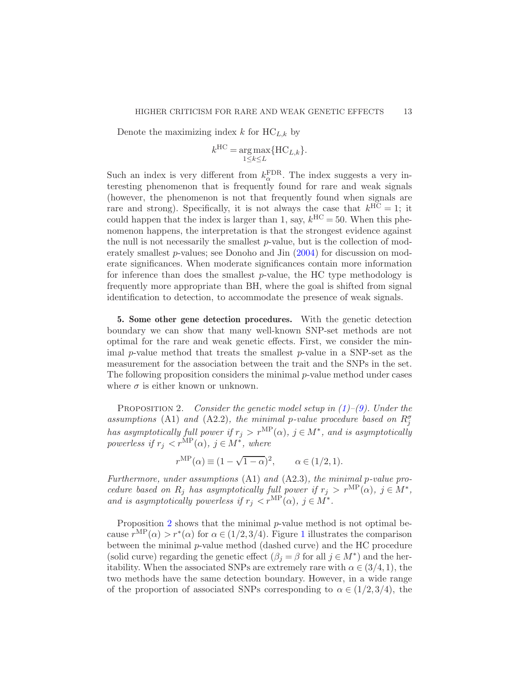Denote the maximizing index  $k$  for  $HC_{L,k}$  by

$$
k^{\text{HC}} = \underset{1 \le k \le L}{\text{arg}\max} \{ \text{HC}_{L,k} \}.
$$

Such an index is very different from  $k_{\alpha}^{\text{FDR}}$ . The index suggests a very interesting phenomenon that is frequently found for rare and weak signals (however, the phenomenon is not that frequently found when signals are rare and strong). Specifically, it is not always the case that  $k^{\text{HC}} = 1$ ; it could happen that the index is larger than 1, say,  $k^{\text{HC}} = 50$ . When this phenomenon happens, the interpretation is that the strongest evidence against the null is not necessarily the smallest  $p$ -value, but is the collection of moderately smallest  $p$ -values; see Donoho and Jin  $(2004)$  for discussion on moderate significances. When moderate significances contain more information for inference than does the smallest  $p$ -value, the HC type methodology is frequently more appropriate than BH, where the goal is shifted from signal identification to detection, to accommodate the presence of weak signals.

<span id="page-12-0"></span>5. Some other gene detection procedures. With the genetic detection boundary we can show that many well-known SNP-set methods are not optimal for the rare and weak genetic effects. First, we consider the minimal p-value method that treats the smallest p-value in a SNP-set as the measurement for the association between the trait and the SNPs in the set. The following proposition considers the minimal p-value method under cases where  $\sigma$  is either known or unknown.

<span id="page-12-1"></span>PROPOSITION 2. Consider the genetic model setup in  $(1)$ – $(9)$ . Under the assumptions (A1) and (A2.2), the minimal p-value procedure based on  $R_i^{\sigma}$  $\mu$  has asymptotically full power if  $r_j > r^{\text{MP}}(\alpha)$ ,  $j \in M^*$ , and is asymptotically powerless if  $r_j < r^{\text{MP}}(\alpha)$ ,  $j \in M^*$ , where

$$
r^{\text{MP}}(\alpha) \equiv (1 - \sqrt{1 - \alpha})^2, \qquad \alpha \in (1/2, 1).
$$

Furthermore, under assumptions (A1) and (A2.3), the minimal p-value procedure based on  $R_j$  has asymptotically full power if  $r_j > r^{MP}(\alpha)$ ,  $j \in M^*$ , and is asymptotically powerless if  $r_j < r^{\text{MP}}(\alpha)$ ,  $j \in M^*$ .

Proposition [2](#page-12-1) shows that the minimal p-value method is not optimal because  $r^{MP}(\alpha) > r^*(\alpha)$  for  $\alpha \in (1/2, 3/4)$  $\alpha \in (1/2, 3/4)$  $\alpha \in (1/2, 3/4)$ . Figure 1 illustrates the comparison between the minimal p-value method (dashed curve) and the HC procedure (solid curve) regarding the genetic effect  $(\beta_j = \beta$  for all  $j \in M^*$ ) and the heritability. When the associated SNPs are extremely rare with  $\alpha \in (3/4, 1)$ , the two methods have the same detection boundary. However, in a wide range of the proportion of associated SNPs corresponding to  $\alpha \in (1/2, 3/4)$ , the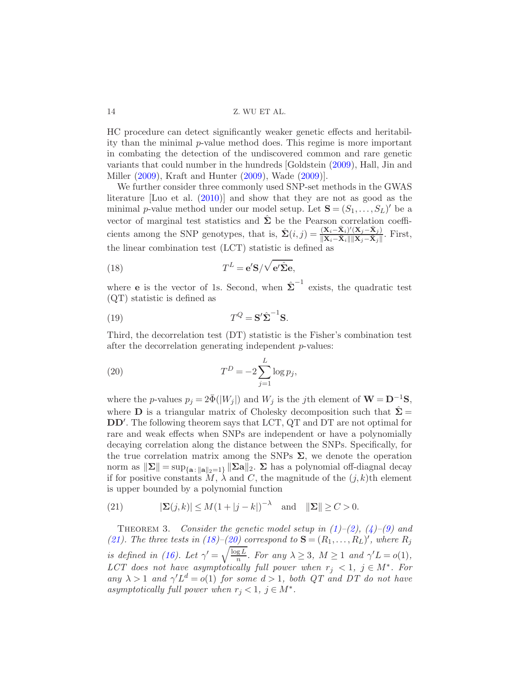HC procedure can detect significantly weaker genetic effects and heritability than the minimal p-value method does. This regime is more important in combating the detection of the undiscovered common and rare genetic variants that could number in the hundreds [Goldstein [\(2009](#page-26-0)), Hall, Jin and Miller [\(2009](#page-27-17)), Kraft and Hunter [\(2009](#page-27-0)), Wade [\(2009](#page-28-0))].

We further consider three commonly used SNP-set methods in the GWAS literature [Luo et al. [\(2010\)](#page-27-5)] and show that they are not as good as the minimal *p*-value method under our model setup. Let  $S = (S_1, \ldots, S_L)'$  be a vector of marginal test statistics and  $\hat{\Sigma}$  be the Pearson correlation coefficients among the SNP genotypes, that is,  $\hat{\Sigma}(i,j) = \frac{(\mathbf{X}_i - \bar{\mathbf{X}}_i)'(\mathbf{X}_j - \bar{\mathbf{X}}_j)}{\|\mathbf{X}_i - \bar{\mathbf{X}}_j\|\|\|\mathbf{X}_j - \bar{\mathbf{X}}_j\|}$  $\frac{(\mathbf{X}_i - \mathbf{X}_i) \cdot (\mathbf{X}_j - \mathbf{X}_j)}{\|\mathbf{X}_i - \bar{\mathbf{X}}_i\| \|\mathbf{X}_j - \bar{\mathbf{X}}_j\|}$ . First, the linear combination test (LCT) statistic is defined as

<span id="page-13-1"></span>(18) 
$$
T^{L} = \mathbf{e}^{\prime} \mathbf{S} / \sqrt{\mathbf{e}^{\prime} \hat{\mathbf{\Sigma}} \mathbf{e}},
$$

where **e** is the vector of 1s. Second, when  $\hat{\Sigma}^{-1}$  exists, the quadratic test (QT) statistic is defined as

$$
(19) \t\t TQ = \mathbf{S}' \hat{\mathbf{\Sigma}}^{-1} \mathbf{S}.
$$

Third, the decorrelation test (DT) statistic is the Fisher's combination test after the decorrelation generating independent p-values:

<span id="page-13-2"></span>(20) 
$$
T^{D} = -2 \sum_{j=1}^{L} \log p_{j},
$$

where the p-values  $p_j = 2\bar{\Phi}(|W_j|)$  and  $W_j$  is the jth element of  $\mathbf{W} = \mathbf{D}^{-1}\mathbf{S}$ , where **D** is a triangular matrix of Cholesky decomposition such that  $\hat{\Sigma} =$ DD'. The following theorem says that LCT, QT and DT are not optimal for rare and weak effects when SNPs are independent or have a polynomially decaying correlation along the distance between the SNPs. Specifically, for the true correlation matrix among the SNPs  $\Sigma$ , we denote the operation norm as  $\|\Sigma\| = \sup_{\{\mathbf{a} : \|\mathbf{a}\|_2=1\}} \|\Sigma \mathbf{a}\|_2$ .  $\Sigma$  has a polynomial off-diagnal decay if for positive constants  $M$ ,  $\lambda$  and  $C$ , the magnitude of the  $(j, k)$ <sup>th</sup> element is upper bounded by a polynomial function

<span id="page-13-3"></span><span id="page-13-0"></span>(21) 
$$
|\Sigma(j,k)| \le M(1+|j-k|)^{-\lambda}
$$
 and  $||\Sigma|| \ge C > 0$ .

THEOREM 3. Consider the genetic model setup in  $(1)-(2)$  $(1)-(2)$ ,  $(4)-(9)$  $(4)-(9)$  and [\(21\)](#page-13-0). The three tests in [\(18\)](#page-13-1)–[\(20\)](#page-13-2) correspond to  $S = (R_1, \ldots, R_L)'$ , where  $R_j$ is defined in [\(16\)](#page-9-2). Let  $\gamma' = \sqrt{\frac{\log L}{n}}$  $\frac{gL}{n}$ . For any  $\lambda \geq 3$ ,  $M \geq 1$  and  $\gamma' L = o(1)$ , LCT does not have asymptotically full power when  $r_j < 1, j \in M^*$ . For any  $\lambda > 1$  and  $\gamma' L^d = o(1)$  for some  $d > 1$ , both QT and DT do not have asymptotically full power when  $r_j < 1$ ,  $j \in M^*$ .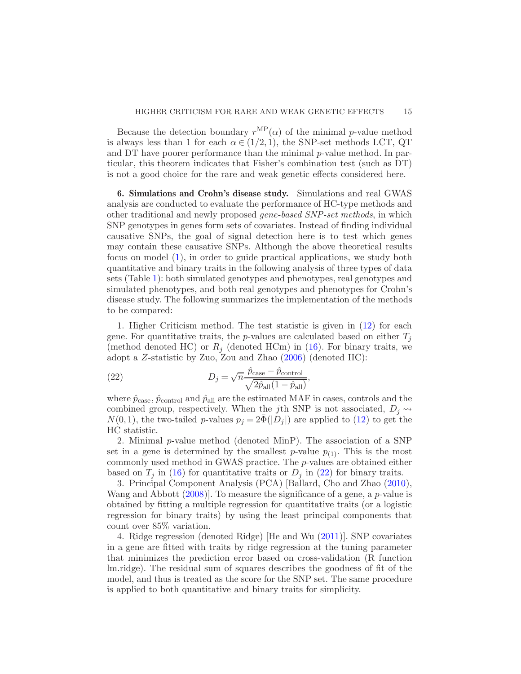Because the detection boundary  $r^{MP}(\alpha)$  of the minimal p-value method is always less than 1 for each  $\alpha \in (1/2, 1)$ , the SNP-set methods LCT, QT and DT have poorer performance than the minimal p-value method. In particular, this theorem indicates that Fisher's combination test (such as DT) is not a good choice for the rare and weak genetic effects considered here.

<span id="page-14-0"></span>6. Simulations and Crohn's disease study. Simulations and real GWAS analysis are conducted to evaluate the performance of HC-type methods and other traditional and newly proposed gene-based SNP-set methods, in which SNP genotypes in genes form sets of covariates. Instead of finding individual causative SNPs, the goal of signal detection here is to test which genes may contain these causative SNPs. Although the above theoretical results focus on model [\(1\)](#page-1-0), in order to guide practical applications, we study both quantitative and binary traits in the following analysis of three types of data sets (Table [1\)](#page-15-0): both simulated genotypes and phenotypes, real genotypes and simulated phenotypes, and both real genotypes and phenotypes for Crohn's disease study. The following summarizes the implementation of the methods to be compared:

1. Higher Criticism method. The test statistic is given in [\(12\)](#page-8-2) for each gene. For quantitative traits, the *p*-values are calculated based on either  $T_i$ (method denoted HC) or  $R_i$  (denoted HCm) in [\(16\)](#page-9-2). For binary traits, we adopt a Z-statistic by Zuo, Zou and Zhao [\(2006](#page-28-12)) (denoted HC):

<span id="page-14-1"></span>(22) 
$$
D_j = \sqrt{n} \frac{\hat{p}_{\text{case}} - \hat{p}_{\text{control}}}{\sqrt{2\hat{p}_{\text{all}}(1 - \hat{p}_{\text{all}})}},
$$

where  $\hat{p}_{\text{case}}$ ,  $\hat{p}_{\text{control}}$  and  $\hat{p}_{\text{all}}$  are the estimated MAF in cases, controls and the combined group, respectively. When the jth SNP is not associated,  $D_j \rightarrow$  $N(0, 1)$ , the two-tailed p-values  $p_j = 2\bar{\Phi}(|D_j|)$  are applied to [\(12\)](#page-8-2) to get the HC statistic.

2. Minimal p-value method (denoted MinP). The association of a SNP set in a gene is determined by the smallest p-value  $p_{(1)}$ . This is the most commonly used method in GWAS practice. The p-values are obtained either based on  $T_i$  in [\(16\)](#page-9-2) for quantitative traits or  $D_i$  in [\(22\)](#page-14-1) for binary traits.

3. Principal Component Analysis (PCA) [Ballard, Cho and Zhao [\(2010](#page-26-1)), Wang and Abbott  $(2008)$ . To measure the significance of a gene, a p-value is obtained by fitting a multiple regression for quantitative traits (or a logistic regression for binary traits) by using the least principal components that count over 85% variation.

4. Ridge regression (denoted Ridge) [He and Wu [\(2011](#page-27-18))]. SNP covariates in a gene are fitted with traits by ridge regression at the tuning parameter that minimizes the prediction error based on cross-validation (R function lm.ridge). The residual sum of squares describes the goodness of fit of the model, and thus is treated as the score for the SNP set. The same procedure is applied to both quantitative and binary traits for simplicity.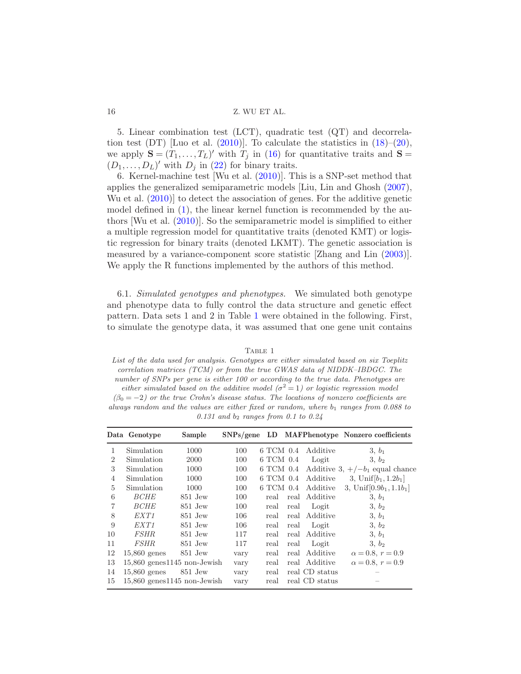5. Linear combination test (LCT), quadratic test (QT) and decorrelation test (DT) [Luo et al.  $(2010)$ ]. To calculate the statistics in  $(18)$ – $(20)$ , we apply  $S = (T_1, \ldots, T_L)'$  with  $T_j$  in [\(16\)](#page-9-2) for quantitative traits and  $S =$  $(D_1, \ldots, D_L)'$  with  $D_j$  in [\(22\)](#page-14-1) for binary traits.

6. Kernel-machine test [Wu et al. [\(2010\)](#page-28-13)]. This is a SNP-set method that applies the generalized semiparametric models [Liu, Lin and Ghosh [\(2007](#page-27-19)), Wu et al. [\(2010](#page-28-13))] to detect the association of genes. For the additive genetic model defined in  $(1)$ , the linear kernel function is recommended by the authors [Wu et al. [\(2010](#page-28-13))]. So the semiparametric model is simplified to either a multiple regression model for quantitative traits (denoted KMT) or logistic regression for binary traits (denoted LKMT). The genetic association is measured by a variance-component score statistic [Zhang and Lin [\(2003](#page-28-14))]. We apply the R functions implemented by the authors of this method.

<span id="page-15-1"></span>6.1. Simulated genotypes and phenotypes. We simulated both genotype and phenotype data to fully control the data structure and genetic effect pattern. Data sets 1 and 2 in Table [1](#page-15-0) were obtained in the following. First, to simulate the genotype data, it was assumed that one gene unit contains

### TABLE 1

<span id="page-15-0"></span>List of the data used for analysis. Genotypes are either simulated based on six Toeplitz correlation matrices (TCM) or from the true GWAS data of NIDDK–IBDGC. The number of SNPs per gene is either 100 or according to the true data. Phenotypes are either simulated based on the additive model ( $\sigma^2 = 1$ ) or logistic regression model  $(\beta_0 = -2)$  or the true Crohn's disease status. The locations of nonzero coefficients are always random and the values are either fixed or random, where  $b_1$  ranges from 0.088 to 0.131 and  $b_2$  ranges from 0.1 to 0.24

|                | Data Genotype                    | Sample            |      |               |      |                | SNPs/gene LD MAFPhenotype Nonzero coefficients |
|----------------|----------------------------------|-------------------|------|---------------|------|----------------|------------------------------------------------|
| 1              | Simulation                       | 1000              | 100  | 6 TCM 0.4     |      | Additive       | $3, b_1$                                       |
| $\overline{2}$ | Simulation                       | 2000              | 100  | $6$ TCM $0.4$ |      | Logit          | $3, b_2$                                       |
| 3              | Simulation                       | 1000              | 100  |               |      |                | 6 TCM 0.4 Additive 3, $+/-b_1$ equal chance    |
| $\overline{4}$ | Simulation                       | 1000              | 100  | 6 TCM 0.4     |      | Additive       | 3, Unif $[b_1, 1.2b_1]$                        |
| 5              | Simulation                       | 1000              | 100  | 6 TCM 0.4     |      | Additive       | 3, Unif $[0.9b_1, 1.1b_1]$                     |
| 6              | <i>BCHE</i>                      | $851 \text{ Jew}$ | 100  | real          |      | real Additive  | $3, b_1$                                       |
| $\overline{7}$ | <i>BCHE</i>                      | $851 \text{ Jew}$ | 100  | real          | real | Logit          | 3, b <sub>2</sub>                              |
| 8              | EXT1                             | 851 Jew           | 106  | real          |      | real Additive  | $3, b_1$                                       |
| 9              | EXT1                             | 851 Jew           | 106  | real          | real | Logit          | $3, b_2$                                       |
| 10             | <i>FSHR</i>                      | 851 Jew           | 117  | real          |      | real Additive  | $3, b_1$                                       |
| 11             | <i>FSHR</i>                      | $851 \text{ Jew}$ | 117  | real          | real | Logit          | $3, b_2$                                       |
| 12             | $15,860$ genes                   | 851 Jew           | vary | real          |      | real Additive  | $\alpha = 0.8, r = 0.9$                        |
| 13             | $15,860$ genes $1145$ non-Jewish |                   | vary | real          |      | real Additive  | $\alpha = 0.8, r = 0.9$                        |
| 14             | $15,860$ genes                   | $851 \text{ Jew}$ | vary | real          |      | real CD status |                                                |
| 15             | $15,860$ genes $1145$ non-Jewish |                   | vary | real          |      | real CD status |                                                |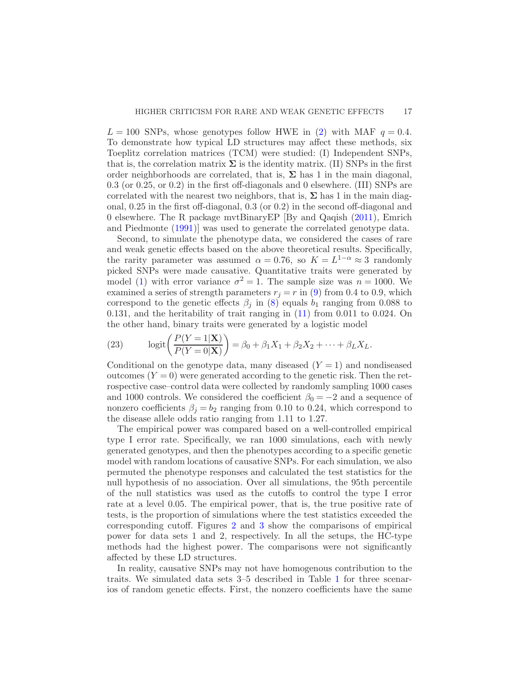$L = 100$  SNPs, whose genotypes follow HWE in [\(2\)](#page-4-2) with MAF  $q = 0.4$ . To demonstrate how typical LD structures may affect these methods, six Toeplitz correlation matrices (TCM) were studied: (I) Independent SNPs, that is, the correlation matrix  $\Sigma$  is the identity matrix. (II) SNPs in the first order neighborhoods are correlated, that is,  $\Sigma$  has 1 in the main diagonal, 0.3 (or 0.25, or 0.2) in the first off-diagonals and 0 elsewhere. (III) SNPs are correlated with the nearest two neighbors, that is,  $\Sigma$  has 1 in the main diagonal, 0.25 in the first off-diagonal, 0.3 (or 0.2) in the second off-diagonal and 0 elsewhere. The R package mvtBinaryEP [By and Qaqish [\(2011](#page-26-8)), Emrich and Piedmonte [\(1991](#page-26-9))] was used to generate the correlated genotype data.

Second, to simulate the phenotype data, we considered the cases of rare and weak genetic effects based on the above theoretical results. Specifically, the rarity parameter was assumed  $\alpha = 0.76$ , so  $K = L^{1-\alpha} \approx 3$  randomly picked SNPs were made causative. Quantitative traits were generated by model [\(1\)](#page-1-0) with error variance  $\sigma^2 = 1$ . The sample size was  $n = 1000$ . We examined a series of strength parameters  $r_j = r$  in [\(9\)](#page-6-0) from 0.4 to 0.9, which correspond to the genetic effects  $\beta_j$  in [\(8\)](#page-6-1) equals  $b_1$  ranging from 0.088 to 0.131, and the heritability of trait ranging in [\(11\)](#page-7-1) from 0.011 to 0.024. On the other hand, binary traits were generated by a logistic model

<span id="page-16-0"></span>(23) 
$$
\log \left( \frac{P(Y=1|\mathbf{X})}{P(Y=0|\mathbf{X})} \right) = \beta_0 + \beta_1 X_1 + \beta_2 X_2 + \dots + \beta_L X_L.
$$

Conditional on the genotype data, many diseased  $(Y = 1)$  and nondiseased outcomes  $(Y = 0)$  were generated according to the genetic risk. Then the retrospective case–control data were collected by randomly sampling 1000 cases and 1000 controls. We considered the coefficient  $\beta_0 = -2$  and a sequence of nonzero coefficients  $\beta_i = b_2$  ranging from 0.10 to 0.24, which correspond to the disease allele odds ratio ranging from 1.11 to 1.27.

The empirical power was compared based on a well-controlled empirical type I error rate. Specifically, we ran 1000 simulations, each with newly generated genotypes, and then the phenotypes according to a specific genetic model with random locations of causative SNPs. For each simulation, we also permuted the phenotype responses and calculated the test statistics for the null hypothesis of no association. Over all simulations, the 95th percentile of the null statistics was used as the cutoffs to control the type I error rate at a level 0.05. The empirical power, that is, the true positive rate of tests, is the proportion of simulations where the test statistics exceeded the corresponding cutoff. Figures [2](#page-17-0) and [3](#page-17-1) show the comparisons of empirical power for data sets 1 and 2, respectively. In all the setups, the HC-type methods had the highest power. The comparisons were not significantly affected by these LD structures.

In reality, causative SNPs may not have homogenous contribution to the traits. We simulated data sets 3–5 described in Table [1](#page-15-0) for three scenarios of random genetic effects. First, the nonzero coefficients have the same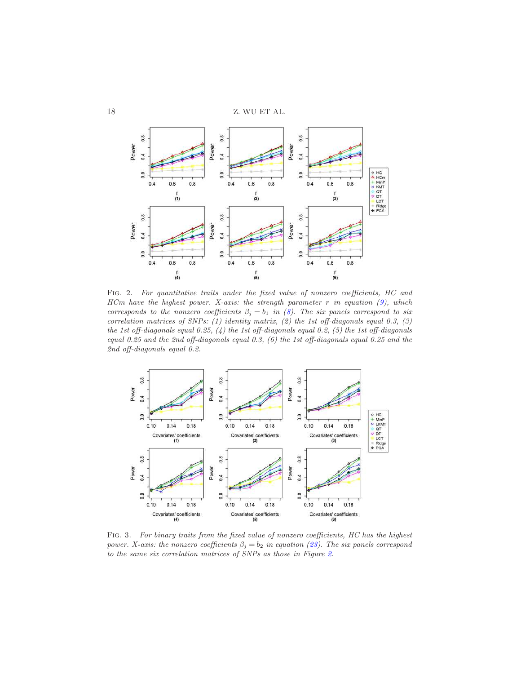18 Z. WU ET AL.



<span id="page-17-0"></span>Fig. 2. For quantitative traits under the fixed value of nonzero coefficients, HC and HCm have the highest power. X-axis: the strength parameter  $r$  in equation [\(9\)](#page-6-0), which corresponds to the nonzero coefficients  $\beta_j = b_1$  in [\(8\)](#page-6-1). The six panels correspond to six correlation matrices of SNPs: (1) identity matrix, (2) the 1st off-diagonals equal 0.3, (3) the 1st off-diagonals equal 0.25, (4) the 1st off-diagonals equal 0.2, (5) the 1st off-diagonals equal 0.25 and the 2nd off-diagonals equal 0.3, (6) the 1st off-diagonals equal 0.25 and the 2nd off-diagonals equal 0.2.



<span id="page-17-1"></span>Fig. 3. For binary traits from the fixed value of nonzero coefficients, HC has the highest power. X-axis: the nonzero coefficients  $\beta_j = b_2$  in equation [\(23\)](#page-16-0). The six panels correspond to the same six correlation matrices of SNPs as those in Figure [2.](#page-17-0)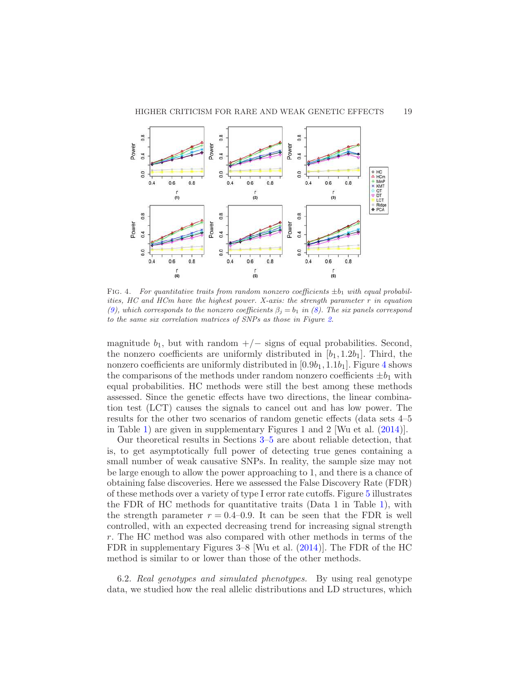

<span id="page-18-0"></span>FIG. 4. For quantitative traits from random nonzero coefficients  $\pm b_1$  with equal probabilities,  $HC$  and  $HCm$  have the highest power. X-axis: the strength parameter r in equation [\(9\)](#page-6-0), which corresponds to the nonzero coefficients  $\beta_i = b_1$  in [\(8\)](#page-6-1). The six panels correspond to the same six correlation matrices of SNPs as those in Figure [2.](#page-17-0)

magnitude  $b_1$ , but with random  $+/-$  signs of equal probabilities. Second, the nonzero coefficients are uniformly distributed in  $[b_1, 1.2b_1]$ . Third, the nonzero coefficients are uniformly distributed in  $[0.9b_1, 1.1b_1]$ . Figure [4](#page-18-0) shows the comparisons of the methods under random nonzero coefficients  $\pm b_1$  with equal probabilities. HC methods were still the best among these methods assessed. Since the genetic effects have two directions, the linear combination test (LCT) causes the signals to cancel out and has low power. The results for the other two scenarios of random genetic effects (data sets 4–5 in Table [1\)](#page-15-0) are given in supplementary Figures 1 and 2 [Wu et al. [\(2014\)](#page-28-8)].

Our theoretical results in Sections [3](#page-8-0)[–5](#page-12-0) are about reliable detection, that is, to get asymptotically full power of detecting true genes containing a small number of weak causative SNPs. In reality, the sample size may not be large enough to allow the power approaching to 1, and there is a chance of obtaining false discoveries. Here we assessed the False Discovery Rate (FDR) of these methods over a variety of type I error rate cutoffs. Figure [5](#page-19-0) illustrates the FDR of HC methods for quantitative traits (Data 1 in Table [1\)](#page-15-0), with the strength parameter  $r = 0.4{\text{-}}0.9$ . It can be seen that the FDR is well controlled, with an expected decreasing trend for increasing signal strength r. The HC method was also compared with other methods in terms of the FDR in supplementary Figures 3–8 [Wu et al. [\(2014](#page-28-8))]. The FDR of the HC method is similar to or lower than those of the other methods.

6.2. Real genotypes and simulated phenotypes. By using real genotype data, we studied how the real allelic distributions and LD structures, which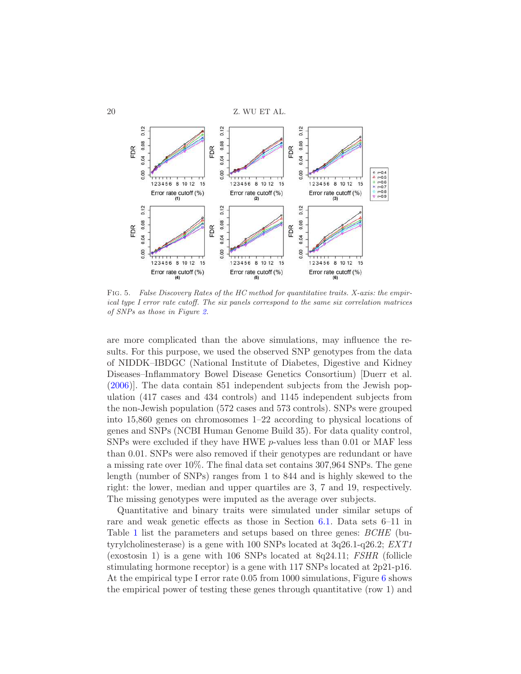20 Z. WU ET AL.



<span id="page-19-0"></span>FIG. 5. False Discovery Rates of the HC method for quantitative traits. X-axis: the empirical type I error rate cutoff. The six panels correspond to the same six correlation matrices of SNPs as those in Figure [2.](#page-17-0)

are more complicated than the above simulations, may influence the results. For this purpose, we used the observed SNP genotypes from the data of NIDDK–IBDGC (National Institute of Diabetes, Digestive and Kidney Diseases–Inflammatory Bowel Disease Genetics Consortium) [Duerr et al. [\(2006\)](#page-26-10)]. The data contain 851 independent subjects from the Jewish population (417 cases and 434 controls) and 1145 independent subjects from the non-Jewish population (572 cases and 573 controls). SNPs were grouped into 15,860 genes on chromosomes 1–22 according to physical locations of genes and SNPs (NCBI Human Genome Build 35). For data quality control, SNPs were excluded if they have HWE  $p$ -values less than 0.01 or MAF less than 0.01. SNPs were also removed if their genotypes are redundant or have a missing rate over 10%. The final data set contains 307,964 SNPs. The gene length (number of SNPs) ranges from 1 to 844 and is highly skewed to the right: the lower, median and upper quartiles are 3, 7 and 19, respectively. The missing genotypes were imputed as the average over subjects.

Quantitative and binary traits were simulated under similar setups of rare and weak genetic effects as those in Section [6.1.](#page-15-1) Data sets 6–11 in Table [1](#page-15-0) list the parameters and setups based on three genes: *BCHE* (butyrylcholinesterase) is a gene with 100 SNPs located at 3q26.1-q26.2; EXT1 (exostosin 1) is a gene with 106 SNPs located at  $8q24.11$ ;  $FSHR$  (follicle stimulating hormone receptor) is a gene with 117 SNPs located at 2p21-p16. At the empirical type I error rate 0.05 from 1000 simulations, Figure [6](#page-20-0) shows the empirical power of testing these genes through quantitative (row 1) and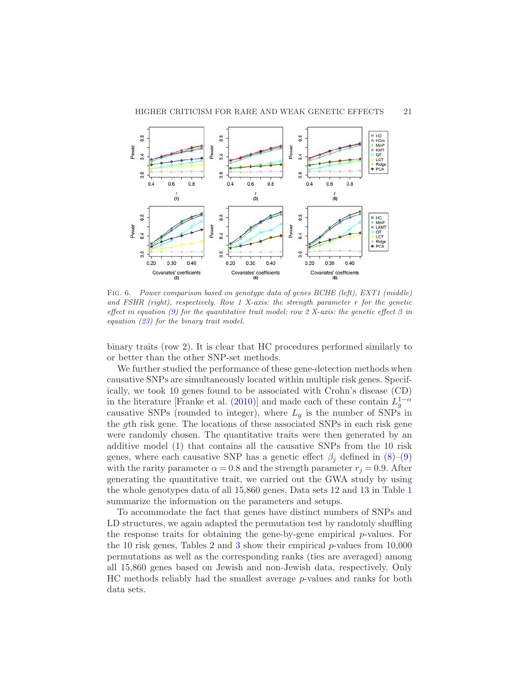

<span id="page-20-0"></span>Fig. 6. Power comparison based on genotype data of genes BCHE (left), EXT1 (middle) and FSHR (right), respectively. Row 1 X-axis: the strength parameter r for the genetic effect in equation [\(9\)](#page-6-0) for the quantitative trait model; row 2 X-axis: the genetic effect  $\beta$  in equation  $(23)$  for the binary trait model.

binary traits (row 2). It is clear that HC procedures performed similarly to or better than the other SNP-set methods.

We further studied the performance of these gene-detection methods when causative SNPs are simultaneously located within multiple risk genes. Specifically, we took 10 genes found to be associated with Crohn's disease (CD) in the literature [Franke et al. [\(2010](#page-26-11))] and made each of these contain  $L_g^{1-\alpha}$ causative SNPs (rounded to integer), where  $L_q$  is the number of SNPs in the gth risk gene. The locations of these associated SNPs in each risk gene were randomly chosen. The quantitative traits were then generated by an additive model [\(1\)](#page-1-0) that contains all the causative SNPs from the 10 risk genes, where each causative SNP has a genetic effect  $\beta_j$  defined in  $(8)-(9)$  $(8)-(9)$ with the rarity parameter  $\alpha = 0.8$  and the strength parameter  $r_j = 0.9$ . After generating the quantitative trait, we carried out the GWA study by using the whole genotypes data of all 15,860 genes. Data sets 12 and 13 in Table [1](#page-15-0) summarize the information on the parameters and setups.

To accommodate the fact that genes have distinct numbers of SNPs and LD structures, we again adapted the permutation test by randomly shuffling the response traits for obtaining the gene-by-gene empirical p-values. For the 10 risk genes, Tables [2](#page-21-0) and [3](#page-22-0) show their empirical p-values from  $10,000$ permutations as well as the corresponding ranks (ties are averaged) among all 15,860 genes based on Jewish and non-Jewish data, respectively. Only  $HC$  methods reliably had the smallest average  $p$ -values and ranks for both data sets.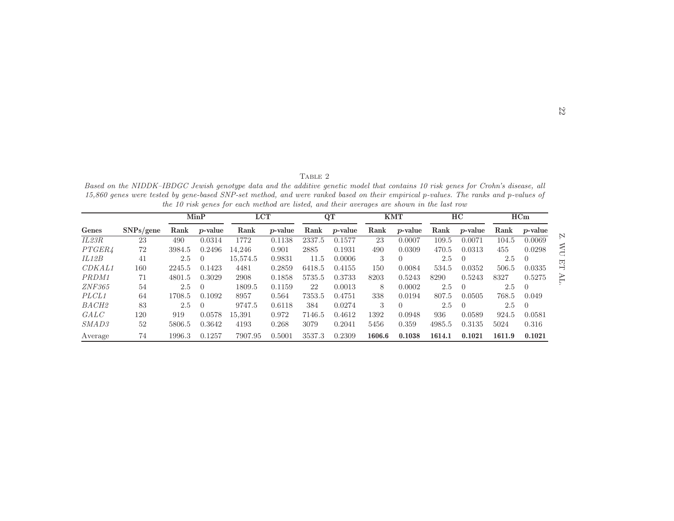<span id="page-21-1"></span><span id="page-21-0"></span>

|              |           | MinP   |                  | $_{\rm LCT}$ |                 | QT     |                 | <b>KMT</b> |                 | HС     |            | HCm    |                  |
|--------------|-----------|--------|------------------|--------------|-----------------|--------|-----------------|------------|-----------------|--------|------------|--------|------------------|
| Genes        | SNPs/gene | Rank   | <i>p</i> -value  | Rank         | <i>p</i> -value | Rank   | <i>p</i> -value | Rank       | <i>p</i> -value | Rank   | $p$ -value | Rank   | <i>p</i> -value  |
| IL23R        | 23        | 490    | 0.0314           | 1772         | 0.1138          | 2337.5 | 0.1577          | 23         | 0.0007          | 109.5  | 0.0071     | 104.5  | 0.0069           |
| PTGER4       | 72        | 3984.5 | 0.2496           | 14,246       | 0.901           | 2885   | 0.1931          | 490        | 0.0309          | 470.5  | 0.0313     | 455    | 0.0298           |
| IL12B        | 41        | 2.5    | $\left( \right)$ | 15,574.5     | 0.9831          | 11.5   | 0.0006          | 3          | 0               | 2.5    | $\Omega$   | 2.5    | $\left( \right)$ |
| CDKAL1       | 160       | 2245.5 | 0.1423           | 4481         | 0.2859          | 6418.5 | 0.4155          | 150        | 0.0084          | 534.5  | 0.0352     | 506.5  | 0.0335           |
| PRDM1        | 71        | 4801.5 | 0.3029           | 2908         | 0.1858          | 5735.5 | 0.3733          | 8203       | 0.5243          | 8290   | 0.5243     | 8327   | 0.5275           |
| ZNF365       | 54        | 2.5    | $\left( \right)$ | 1809.5       | 0.1159          | 22     | 0.0013          | 8          | 0.0002          | 2.5    | $\Omega$   | 2.5    | $\Omega$         |
| PLCL1        | 64        | 1708.5 | 0.1092           | 8957         | 0.564           | 7353.5 | 0.4751          | 338        | 0.0194          | 807.5  | 0.0505     | 768.5  | 0.049            |
| <i>BACH2</i> | 83        | 2.5    | $\left( \right)$ | 9747.5       | 0.6118          | 384    | 0.0274          | 3          | $\Omega$        | 2.5    | $\Omega$   | 2.5    | $\Omega$         |
| GALC         | 120       | 919    | 0.0578           | 15,391       | 0.972           | 7146.5 | 0.4612          | 1392       | 0.0948          | 936    | 0.0589     | 924.5  | 0.0581           |
| <i>SMAD3</i> | 52        | 5806.5 | 0.3642           | 4193         | 0.268           | 3079   | 0.2041          | 5456       | 0.359           | 4985.5 | 0.3135     | 5024   | 0.316            |
| Average      | 74        | 1996.3 | 0.1257           | 7907.95      | 0.5001          | 3537.3 | 0.2309          | 1606.6     | 0.1038          | 1614.1 | 0.1021     | 1611.9 | 0.1021           |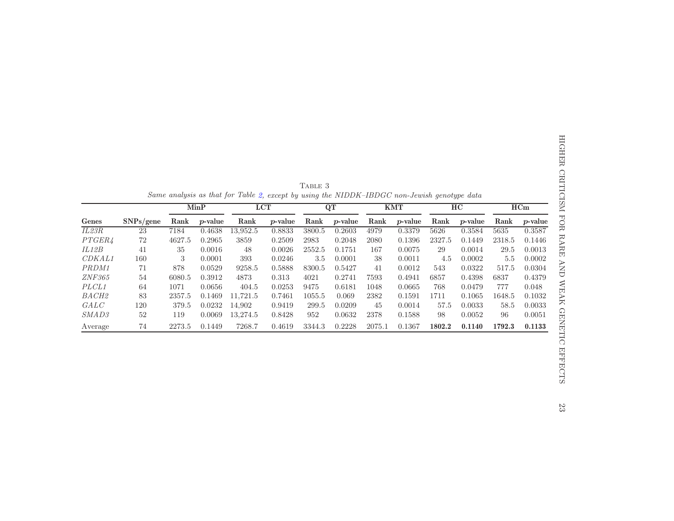<span id="page-22-0"></span>

| Genes             | SNPs/gene | MinP   |            | $_{\rm LCT}$ |            | QT     |            | <b>KMT</b> |            | HC     |            | HCm    |            |
|-------------------|-----------|--------|------------|--------------|------------|--------|------------|------------|------------|--------|------------|--------|------------|
|                   |           | Rank   | $p$ -value | Rank         | $p$ -value | Rank   | $p$ -value | Rank       | $p$ -value | Rank   | $p$ -value | Rank   | $p$ -value |
| <i>IL23R</i>      | 23        | 7184   | 0.4638     | 13,952.5     | 0.8833     | 3800.5 | 0.2603     | 4979       | 0.3379     | 5626   | 0.3584     | 5635   | 0.3587     |
| PTGER4            | 72        | 4627.5 | 0.2965     | 3859         | 0.2509     | 2983   | 0.2048     | 2080       | 0.1396     | 2327.5 | 0.1449     | 2318.5 | 0.1446     |
| IL12B             | 41        | 35     | 0.0016     | 48           | 0.0026     | 2552.5 | 0.1751     | 167        | 0.0075     | 29     | 0.0014     | 29.5   | 0.0013     |
| CDKAL1            | 160       | 3      | 0.0001     | 393          | 0.0246     | 3.5    | 0.0001     | 38         | 0.0011     | 4.5    | 0.0002     | 5.5    | 0.0002     |
| PRDM1             | 71        | 878    | 0.0529     | 9258.5       | 0.5888     | 8300.5 | 0.5427     | 41         | 0.0012     | 543    | 0.0322     | 517.5  | 0.0304     |
| <i>ZNF365</i>     | 54        | 6080.5 | 0.3912     | 4873         | 0.313      | 4021   | 0.2741     | 7593       | 0.4941     | 6857   | 0.4398     | 6837   | 0.4379     |
| PLCL1             | 64        | 1071   | 0.0656     | 404.5        | 0.0253     | 9475   | 0.6181     | 1048       | 0.0665     | 768    | 0.0479     | 777    | 0.048      |
| BACH <sub>2</sub> | 83        | 2357.5 | 0.1469     | 11,721.5     | 0.7461     | 1055.5 | 0.069      | 2382       | 0.1591     | 1711   | 0.1065     | 1648.5 | 0.1032     |
| GALC              | 120       | 379.5  | 0.0232     | 14,902       | 0.9419     | 299.5  | 0.0209     | 45         | 0.0014     | 57.5   | 0.0033     | 58.5   | 0.0033     |
| SMAD3             | 52        | 119    | 0.0069     | 13,274.5     | 0.8428     | 952    | 0.0632     | 2378       | 0.1588     | 98     | 0.0052     | 96     | 0.0051     |
| Average           | 74        | 2273.5 | 0.1449     | 7268.7       | 0.4619     | 3344.3 | 0.2228     | 2075.1     | 0.1367     | 1802.2 | 0.1140     | 1792.3 | 0.1133     |
|                   |           |        |            |              |            |        |            |            |            |        |            |        |            |
|                   |           |        |            |              |            |        |            |            |            |        |            |        |            |
|                   |           |        |            |              |            |        |            |            |            |        |            |        |            |
|                   |           |        |            |              |            |        |            |            |            |        |            |        |            |
|                   |           |        |            |              |            |        |            |            |            |        |            |        |            |
|                   |           |        |            |              |            |        |            |            |            |        |            |        |            |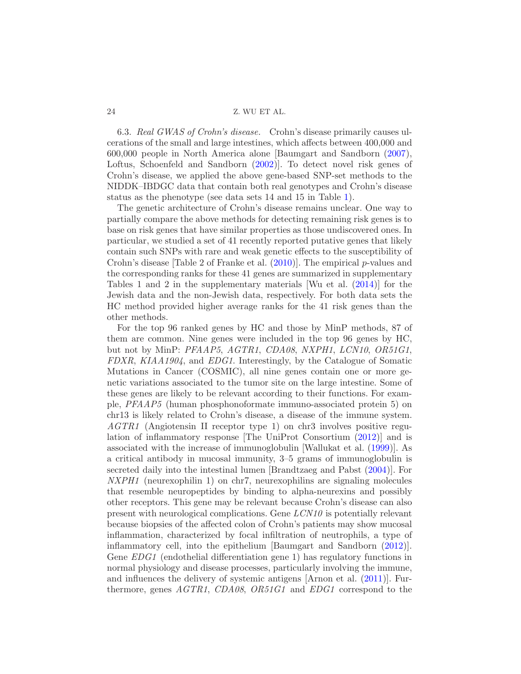6.3. Real GWAS of Crohn's disease. Crohn's disease primarily causes ulcerations of the small and large intestines, which affects between 400,000 and 600,000 people in North America alone [Baumgart and Sandborn [\(2007](#page-26-12)), Loftus, Schoenfeld and Sandborn [\(2002\)](#page-27-20)]. To detect novel risk genes of Crohn's disease, we applied the above gene-based SNP-set methods to the NIDDK–IBDGC data that contain both real genotypes and Crohn's disease status as the phenotype (see data sets 14 and 15 in Table [1\)](#page-15-0).

The genetic architecture of Crohn's disease remains unclear. One way to partially compare the above methods for detecting remaining risk genes is to base on risk genes that have similar properties as those undiscovered ones. In particular, we studied a set of 41 recently reported putative genes that likely contain such SNPs with rare and weak genetic effects to the susceptibility of Crohn's disease  $[Table 2$  of Franke et al.  $(2010)]$ . The empirical p-values and the corresponding ranks for these 41 genes are summarized in supplementary Tables 1 and 2 in the supplementary materials [Wu et al. [\(2014](#page-28-8))] for the Jewish data and the non-Jewish data, respectively. For both data sets the HC method provided higher average ranks for the 41 risk genes than the other methods.

For the top 96 ranked genes by HC and those by MinP methods, 87 of them are common. Nine genes were included in the top 96 genes by HC, but not by MinP: PFAAP5, AGTR1, CDA08, NXPH1, LCN10, OR51G1, FDXR, KIAA1904, and EDG1. Interestingly, by the Catalogue of Somatic Mutations in Cancer (COSMIC), all nine genes contain one or more genetic variations associated to the tumor site on the large intestine. Some of these genes are likely to be relevant according to their functions. For example, PFAAP5 (human phosphonoformate immuno-associated protein 5) on chr13 is likely related to Crohn's disease, a disease of the immune system.  $AGTR1$  (Angiotensin II receptor type 1) on chr3 involves positive regulation of inflammatory response [The UniProt Consortium [\(2012](#page-28-15))] and is associated with the increase of immunoglobulin [Wallukat et al. [\(1999](#page-28-16))]. As a critical antibody in mucosal immunity, 3–5 grams of immunoglobulin is secreted daily into the intestinal lumen [Brandtzaeg and Pabst [\(2004](#page-26-13))]. For  $NXPH1$  (neurexophilin 1) on chr7, neurexophilins are signaling molecules that resemble neuropeptides by binding to alpha-neurexins and possibly other receptors. This gene may be relevant because Crohn's disease can also present with neurological complications. Gene LCN10 is potentially relevant because biopsies of the affected colon of Crohn's patients may show mucosal inflammation, characterized by focal infiltration of neutrophils, a type of inflammatory cell, into the epithelium [Baumgart and Sandborn [\(2012](#page-26-14))]. Gene *EDG1* (endothelial differentiation gene 1) has regulatory functions in normal physiology and disease processes, particularly involving the immune, and influences the delivery of systemic antigens [Arnon et al. [\(2011](#page-26-15))]. Furthermore, genes AGTR1, CDA08, OR51G1 and EDG1 correspond to the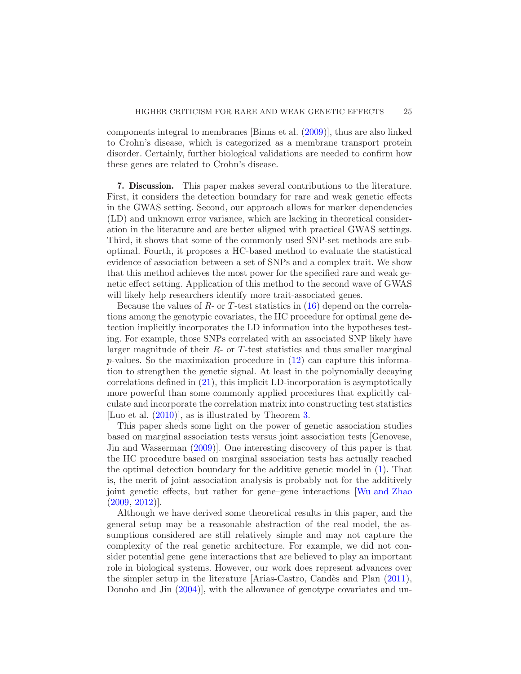components integral to membranes [Binns et al. [\(2009](#page-26-16))], thus are also linked to Crohn's disease, which is categorized as a membrane transport protein disorder. Certainly, further biological validations are needed to confirm how these genes are related to Crohn's disease.

<span id="page-24-0"></span>7. Discussion. This paper makes several contributions to the literature. First, it considers the detection boundary for rare and weak genetic effects in the GWAS setting. Second, our approach allows for marker dependencies (LD) and unknown error variance, which are lacking in theoretical consideration in the literature and are better aligned with practical GWAS settings. Third, it shows that some of the commonly used SNP-set methods are suboptimal. Fourth, it proposes a HC-based method to evaluate the statistical evidence of association between a set of SNPs and a complex trait. We show that this method achieves the most power for the specified rare and weak genetic effect setting. Application of this method to the second wave of GWAS will likely help researchers identify more trait-associated genes.

Because the values of  $R$ - or  $T$ -test statistics in [\(16\)](#page-9-2) depend on the correlations among the genotypic covariates, the HC procedure for optimal gene detection implicitly incorporates the LD information into the hypotheses testing. For example, those SNPs correlated with an associated SNP likely have larger magnitude of their  $R$ - or  $T$ -test statistics and thus smaller marginal  $p$ -values. So the maximization procedure in  $(12)$  can capture this information to strengthen the genetic signal. At least in the polynomially decaying correlations defined in [\(21\)](#page-13-0), this implicit LD-incorporation is asymptotically more powerful than some commonly applied procedures that explicitly calculate and incorporate the correlation matrix into constructing test statistics [Luo et al. [\(2010](#page-27-5))], as is illustrated by Theorem [3.](#page-13-3)

This paper sheds some light on the power of genetic association studies based on marginal association tests versus joint association tests [Genovese, Jin and Wasserman [\(2009](#page-26-17))]. One interesting discovery of this paper is that the HC procedure based on marginal association tests has actually reached the optimal detection boundary for the additive genetic model in [\(1\)](#page-1-0). That is, the merit of joint association analysis is probably not for the additively joint genetic effects, but rather for gene–gene interactions [\[Wu and Zhao](#page-28-17) [\(2009,](#page-28-17) [2012](#page-28-18))].

Although we have derived some theoretical results in this paper, and the general setup may be a reasonable abstraction of the real model, the assumptions considered are still relatively simple and may not capture the complexity of the real genetic architecture. For example, we did not consider potential gene–gene interactions that are believed to play an important role in biological systems. However, our work does represent advances over the simpler setup in the literature [Arias-Castro, Candès and Plan  $(2011)$ , Donoho and Jin [\(2004](#page-26-4))], with the allowance of genotype covariates and un-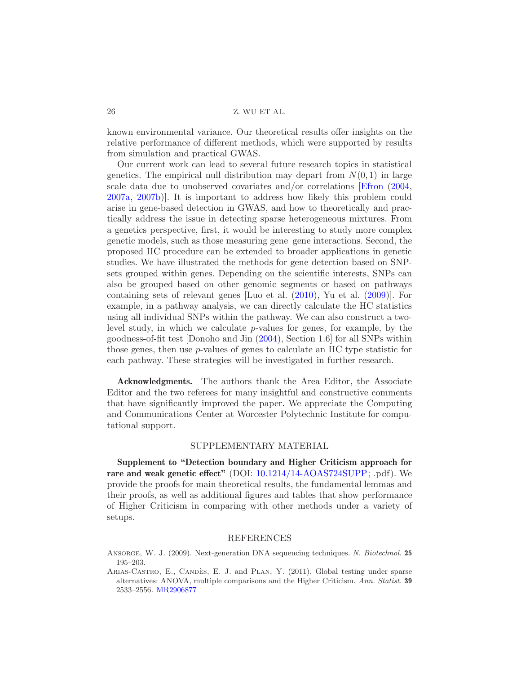known environmental variance. Our theoretical results offer insights on the relative performance of different methods, which were supported by results from simulation and practical GWAS.

Our current work can lead to several future research topics in statistical genetics. The empirical null distribution may depart from  $N(0, 1)$  in large scale data due to unobserved covariates and/or correlations [\[Efron](#page-26-18) [\(2004](#page-26-18), [2007a](#page-26-19), [2007b](#page-26-20))]. It is important to address how likely this problem could arise in gene-based detection in GWAS, and how to theoretically and practically address the issue in detecting sparse heterogeneous mixtures. From a genetics perspective, first, it would be interesting to study more complex genetic models, such as those measuring gene–gene interactions. Second, the proposed HC procedure can be extended to broader applications in genetic studies. We have illustrated the methods for gene detection based on SNPsets grouped within genes. Depending on the scientific interests, SNPs can also be grouped based on other genomic segments or based on pathways containing sets of relevant genes [Luo et al. [\(2010](#page-27-5)), Yu et al. [\(2009](#page-28-19))]. For example, in a pathway analysis, we can directly calculate the HC statistics using all individual SNPs within the pathway. We can also construct a twolevel study, in which we calculate p-values for genes, for example, by the goodness-of-fit test [Donoho and Jin [\(2004](#page-26-4)), Section 1.6] for all SNPs within those genes, then use p-values of genes to calculate an HC type statistic for each pathway. These strategies will be investigated in further research.

Acknowledgments. The authors thank the Area Editor, the Associate Editor and the two referees for many insightful and constructive comments that have significantly improved the paper. We appreciate the Computing and Communications Center at Worcester Polytechnic Institute for computational support.

## SUPPLEMENTARY MATERIAL

Supplement to "Detection boundary and Higher Criticism approach for rare and weak genetic effect" (DOI: [10.1214/14-AOAS724SUPP;](http://dx.doi.org/10.1214/14-AOAS724SUPP) .pdf). We provide the proofs for main theoretical results, the fundamental lemmas and their proofs, as well as additional figures and tables that show performance of Higher Criticism in comparing with other methods under a variety of setups.

## REFERENCES

- <span id="page-25-0"></span>Ansorge, W. J. (2009). Next-generation DNA sequencing techniques. N. Biotechnol. 25 195–203.
- <span id="page-25-1"></span>ARIAS-CASTRO, E., CANDÈS, E. J. and PLAN, Y. (2011). Global testing under sparse alternatives: ANOVA, multiple comparisons and the Higher Criticism. Ann. Statist. 39 2533–2556. [MR2906877](http://www.ams.org/mathscinet-getitem?mr=2906877)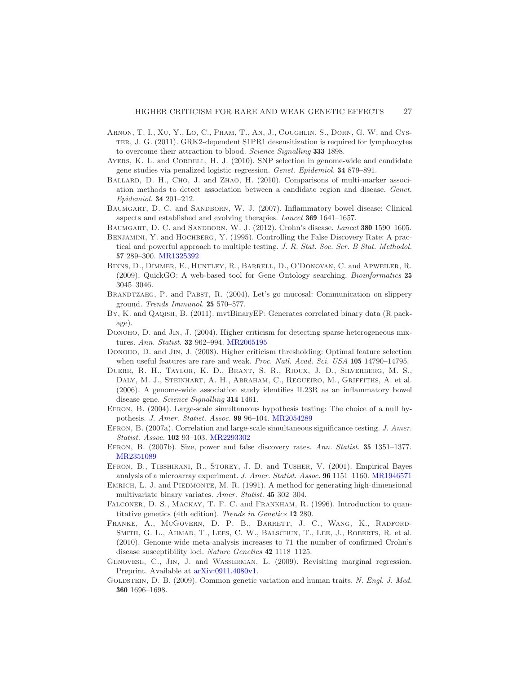- <span id="page-26-15"></span>Arnon, T. I., Xu, Y., Lo, C., Pham, T., An, J., Coughlin, S., Dorn, G. W. and Cyster, J. G. (2011). GRK2-dependent S1PR1 desensitization is required for lymphocytes to overcome their attraction to blood. Science Signalling 333 1898.
- <span id="page-26-3"></span>AYERS, K. L. and CORDELL, H. J. (2010). SNP selection in genome-wide and candidate gene studies via penalized logistic regression. Genet. Epidemiol. 34 879–891.
- <span id="page-26-1"></span>BALLARD, D. H., CHO, J. and ZHAO, H. (2010). Comparisons of multi-marker association methods to detect association between a candidate region and disease. Genet. Epidemiol. 34 201–212.
- <span id="page-26-12"></span>BAUMGART, D. C. and SANDBORN, W. J. (2007). Inflammatory bowel disease: Clinical aspects and established and evolving therapies. Lancet 369 1641–1657.
- <span id="page-26-14"></span>BAUMGART, D. C. and SANDBORN, W. J. (2012). Crohn's disease. Lancet 380 1590–1605.
- <span id="page-26-6"></span>Benjamini, Y. and Hochberg, Y. (1995). Controlling the False Discovery Rate: A practical and powerful approach to multiple testing. J. R. Stat. Soc. Ser. B Stat. Methodol. 57 289–300. [MR1325392](http://www.ams.org/mathscinet-getitem?mr=1325392)
- <span id="page-26-16"></span>Binns, D., Dimmer, E., Huntley, R., Barrell, D., O'Donovan, C. and Apweiler, R. (2009). QuickGO: A web-based tool for Gene Ontology searching. Bioinformatics 25 3045–3046.
- <span id="page-26-13"></span>BRANDTZAEG, P. and PABST, R. (2004). Let's go mucosal: Communication on slippery ground. Trends Immunol. 25 570–577.
- <span id="page-26-8"></span>By, K. and Qaqish, B. (2011). mvtBinaryEP: Generates correlated binary data (R package).
- <span id="page-26-4"></span>DONOHO, D. and JIN, J. (2004). Higher criticism for detecting sparse heterogeneous mixtures. Ann. Statist. 32 962–994. [MR2065195](http://www.ams.org/mathscinet-getitem?mr=2065195)
- <span id="page-26-5"></span>DONOHO, D. and JIN, J. (2008). Higher criticism thresholding: Optimal feature selection when useful features are rare and weak. Proc. Natl. Acad. Sci. USA 105 14790-14795.
- <span id="page-26-10"></span>Duerr, R. H., Taylor, K. D., Brant, S. R., Rioux, J. D., Silverberg, M. S., Daly, M. J., Steinhart, A. H., Abraham, C., Regueiro, M., Griffiths, A. et al. (2006). A genome-wide association study identifies IL23R as an inflammatory bowel disease gene. Science Signalling 314 1461.
- <span id="page-26-18"></span>Efron, B. (2004). Large-scale simultaneous hypothesis testing: The choice of a null hypothesis. J. Amer. Statist. Assoc. 99 96–104. [MR2054289](http://www.ams.org/mathscinet-getitem?mr=2054289)
- <span id="page-26-19"></span>Efron, B. (2007a). Correlation and large-scale simultaneous significance testing. J. Amer. Statist. Assoc. 102 93–103. [MR2293302](http://www.ams.org/mathscinet-getitem?mr=2293302)
- <span id="page-26-20"></span>EFRON, B. (2007b). Size, power and false discovery rates. Ann. Statist. 35 1351–1377. [MR2351089](http://www.ams.org/mathscinet-getitem?mr=2351089)
- <span id="page-26-7"></span>Efron, B., Tibshirani, R., Storey, J. D. and Tusher, V. (2001). Empirical Bayes analysis of a microarray experiment. J. Amer. Statist. Assoc. 96 1151–1160. [MR1946571](http://www.ams.org/mathscinet-getitem?mr=1946571)
- <span id="page-26-9"></span>EMRICH, L. J. and PIEDMONTE, M. R. (1991). A method for generating high-dimensional multivariate binary variates. Amer. Statist. 45 302–304.
- <span id="page-26-2"></span>Falconer, D. S., Mackay, T. F. C. and Frankham, R. (1996). Introduction to quantitative genetics (4th edition). Trends in Genetics 12 280.
- <span id="page-26-11"></span>FRANKE, A., MCGOVERN, D. P. B., BARRETT, J. C., WANG, K., RADFORD-SMITH, G. L., AHMAD, T., LEES, C. W., BALSCHUN, T., LEE, J., ROBERTS, R. et al. (2010). Genome-wide meta-analysis increases to 71 the number of confirmed Crohn's disease susceptibility loci. Nature Genetics 42 1118–1125.
- <span id="page-26-17"></span>Genovese, C., Jin, J. and Wasserman, L. (2009). Revisiting marginal regression. Preprint. Available at [arXiv:0911.4080v1.](http://arxiv.org/abs/arXiv:0911.4080v1)
- <span id="page-26-0"></span>GOLDSTEIN, D. B. (2009). Common genetic variation and human traits. N. Engl. J. Med. 360 1696–1698.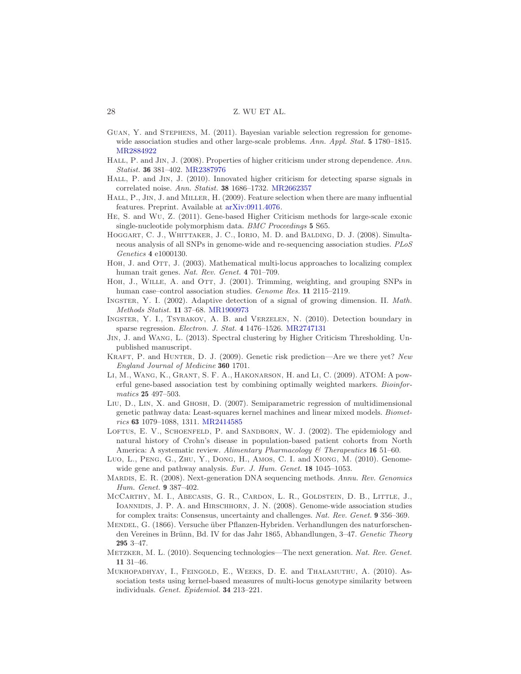- <span id="page-27-7"></span>Guan, Y. and Stephens, M. (2011). Bayesian variable selection regression for genomewide association studies and other large-scale problems. Ann. Appl. Stat. 5 1780–1815. [MR2884922](http://www.ams.org/mathscinet-getitem?mr=2884922)
- <span id="page-27-12"></span>HALL, P. and JIN, J. (2008). Properties of higher criticism under strong dependence. Ann. Statist. 36 381–402. [MR2387976](http://www.ams.org/mathscinet-getitem?mr=2387976)
- <span id="page-27-13"></span>HALL, P. and JIN, J. (2010). Innovated higher criticism for detecting sparse signals in correlated noise. Ann. Statist. 38 1686–1732. [MR2662357](http://www.ams.org/mathscinet-getitem?mr=2662357)
- <span id="page-27-17"></span>HALL, P., JIN, J. and MILLER, H. (2009). Feature selection when there are many influential features. Preprint. Available at [arXiv:0911.4076.](http://arxiv.org/abs/arXiv:0911.4076)
- <span id="page-27-18"></span>He, S. and Wu, Z. (2011). Gene-based Higher Criticism methods for large-scale exonic single-nucleotide polymorphism data. BMC Proceedings 5 S65.
- <span id="page-27-8"></span>HOGGART, C. J., WHITTAKER, J. C., IORIO, M. D. and BALDING, D. J. (2008). Simultaneous analysis of all SNPs in genome-wide and re-sequencing association studies. PLoS Genetics 4 e1000130.
- <span id="page-27-2"></span>HOH, J. and OTT, J. (2003). Mathematical multi-locus approaches to localizing complex human trait genes. Nat. Rev. Genet. 4 701–709.
- <span id="page-27-3"></span>HOH, J., WILLE, A. and OTT, J. (2001). Trimming, weighting, and grouping SNPs in human case–control association studies. Genome Res. 11 2115–2119.
- <span id="page-27-16"></span>INGSTER, Y. I. (2002). Adaptive detection of a signal of growing dimension. II. Math. Methods Statist. 11 37–68. [MR1900973](http://www.ams.org/mathscinet-getitem?mr=1900973)
- <span id="page-27-14"></span>Ingster, Y. I., Tsybakov, A. B. and Verzelen, N. (2010). Detection boundary in sparse regression. Electron. J. Stat. 4 1476-1526. [MR2747131](http://www.ams.org/mathscinet-getitem?mr=2747131)
- <span id="page-27-9"></span>Jin, J. and Wang, L. (2013). Spectral clustering by Higher Criticism Thresholding. Unpublished manuscript.
- <span id="page-27-0"></span>KRAFT, P. and HUNTER, D. J. (2009). Genetic risk prediction—Are we there yet? New England Journal of Medicine 360 1701.
- <span id="page-27-4"></span>Li, M., Wang, K., Grant, S. F. A., Hakonarson, H. and Li, C. (2009). ATOM: A powerful gene-based association test by combining optimally weighted markers. Bioinformatics 25 497–503.
- <span id="page-27-19"></span>Liu, D., Lin, X. and Ghosh, D. (2007). Semiparametric regression of multidimensional genetic pathway data: Least-squares kernel machines and linear mixed models. Biometrics 63 1079–1088, 1311. [MR2414585](http://www.ams.org/mathscinet-getitem?mr=2414585)
- <span id="page-27-20"></span>LOFTUS, E. V., SCHOENFELD, P. and SANDBORN, W. J. (2002). The epidemiology and natural history of Crohn's disease in population-based patient cohorts from North America: A systematic review. Alimentary Pharmacology & Therapeutics 16 51–60.
- <span id="page-27-5"></span>Luo, L., Peng, G., Zhu, Y., Dong, H., Amos, C. I. and Xiong, M. (2010). Genomewide gene and pathway analysis. Eur. J. Hum. Genet. 18 1045-1053.
- <span id="page-27-10"></span>Mardis, E. R. (2008). Next-generation DNA sequencing methods. Annu. Rev. Genomics Hum. Genet. 9 387–402.
- <span id="page-27-1"></span>MCCARTHY, M. I., ABECASIS, G. R., CARDON, L. R., GOLDSTEIN, D. B., LITTLE, J., Ioannidis, J. P. A. and Hirschhorn, J. N. (2008). Genome-wide association studies for complex traits: Consensus, uncertainty and challenges. Nat. Rev. Genet. 9 356–369.
- <span id="page-27-15"></span>MENDEL, G. (1866). Versuche über Pflanzen-Hybriden. Verhandlungen des naturforschenden Vereines in Brünn, Bd. IV for das Jahr 1865, Abhandlungen, 3–47. Genetic Theory 295 3–47.
- <span id="page-27-11"></span>METZKER, M. L. (2010). Sequencing technologies—The next generation. Nat. Rev. Genet. 11 31–46.
- <span id="page-27-6"></span>Mukhopadhyay, I., Feingold, E., Weeks, D. E. and Thalamuthu, A. (2010). Association tests using kernel-based measures of multi-locus genotype similarity between individuals. Genet. Epidemiol. 34 213–221.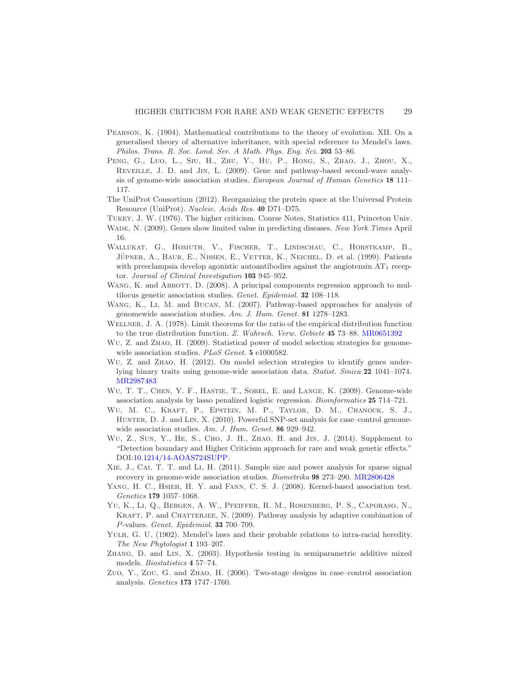- <span id="page-28-9"></span>Pearson, K. (1904). Mathematical contributions to the theory of evolution. XII. On a generalised theory of alternative inheritance, with special reference to Mendel's laws. Philos. Trans. R. Soc. Lond. Ser. A Math. Phys. Eng. Sci. 203 53–86.
- <span id="page-28-1"></span>Peng, G., Luo, L., Siu, H., Zhu, Y., Hu, P., Hong, S., Zhao, J., Zhou, X., Reveille, J. D. and Jin, L. (2009). Gene and pathway-based second-wave analysis of genome-wide association studies. European Journal of Human Genetics 18 111– 117.
- <span id="page-28-15"></span>The UniProt Consortium (2012). Reorganizing the protein space at the Universal Protein Resource (UniProt). Nucleic. Acids Res. 40 D71–D75.
- <span id="page-28-7"></span>Tukey, J. W. (1976). The higher criticism. Course Notes, Statistics 411, Princeton Univ.
- <span id="page-28-0"></span>WADE, N. (2009). Genes show limited value in predicting diseases. New York Times April 16.
- <span id="page-28-16"></span>Wallukat, G., Homuth, V., Fischer, T., Lindschau, C., Horstkamp, B., JÜPNER, A., BAUR, E., NISSEN, E., VETTER, K., NEICHEL, D. et al. (1999). Patients with preeclampsia develop agonistic autoantibodies against the angiotensin  $AT_1$  receptor. Journal of Clinical Investigation 103 945–952.
- <span id="page-28-2"></span>WANG, K. and ABBOTT, D. (2008). A principal components regression approach to multilocus genetic association studies. Genet. Epidemiol. 32 108–118.
- <span id="page-28-3"></span>Wang, K., Li, M. and Bucan, M. (2007). Pathway-based approaches for analysis of genomewide association studies. Am. J. Hum. Genet. 81 1278–1283.
- <span id="page-28-11"></span>Wellner, J. A. (1978). Limit theorems for the ratio of the empirical distribution function to the true distribution function. Z. Wahrsch. Verw. Gebiete 45 73–88. [MR0651392](http://www.ams.org/mathscinet-getitem?mr=0651392)
- <span id="page-28-17"></span>WU, Z. and ZHAO, H. (2009). Statistical power of model selection strategies for genomewide association studies. PLoS Genet. 5 e1000582.
- <span id="page-28-18"></span>WU, Z. and ZHAO, H. (2012). On model selection strategies to identify genes underlying binary traits using genome-wide association data. Statist. Sinica 22 1041–1074. [MR2987483](http://www.ams.org/mathscinet-getitem?mr=2987483)
- <span id="page-28-5"></span>Wu, T. T., Chen, Y. F., Hastie, T., Sobel, E. and Lange, K. (2009). Genome-wide association analysis by lasso penalized logistic regression. Bioinformatics 25 714–721.
- <span id="page-28-13"></span>Wu, M. C., Kraft, P., Epstein, M. P., Taylor, D. M., Chanock, S. J., Hunter, D. J. and Lin, X. (2010). Powerful SNP-set analysis for case–control genomewide association studies. Am. J. Hum. Genet. 86 929–942.
- <span id="page-28-8"></span>Wu, Z., Sun, Y., He, S., Cho, J. H., Zhao, H. and Jin, J. (2014). Supplement to "Detection boundary and Higher Criticism approach for rare and weak genetic effects." DOI[:10.1214/14-AOAS724SUPP.](http://dx.doi.org/10.1214/14-AOAS724SUPP)
- <span id="page-28-6"></span>Xie, J., Cai, T. T. and Li, H. (2011). Sample size and power analysis for sparse signal recovery in genome-wide association studies. Biometrika 98 273–290. [MR2806428](http://www.ams.org/mathscinet-getitem?mr=2806428)
- <span id="page-28-4"></span>YANG, H. C., HSIEH, H. Y. and FANN, C. S. J. (2008). Kernel-based association test. Genetics 179 1057–1068.
- <span id="page-28-19"></span>Yu, K., Li, Q., Bergen, A. W., Pfeiffer, R. M., Rosenberg, P. S., Caporaso, N., KRAFT, P. and CHATTERJEE, N. (2009). Pathway analysis by adaptive combination of P-values. Genet. Epidemiol. 33 700–709.
- <span id="page-28-10"></span>YULH, G. U. (1902). Mendel's laws and their probable relations to intra-racial heredity. The New Phytologist 1 193–207.
- <span id="page-28-14"></span>Zhang, D. and Lin, X. (2003). Hypothesis testing in semiparametric additive mixed models. Biostatistics 4 57–74.
- <span id="page-28-12"></span>Zuo, Y., Zou, G. and Zhao, H. (2006). Two-stage designs in case–control association analysis. Genetics 173 1747–1760.